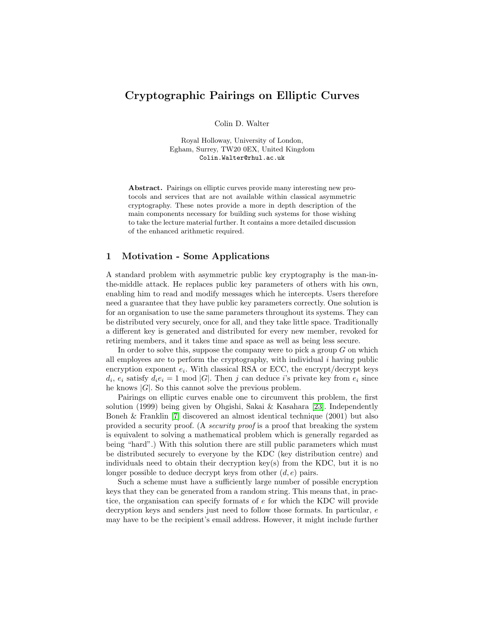# Cryptographic Pairings on Elliptic Curves

Colin D. Walter

Royal Holloway, University of London, Egham, Surrey, TW20 0EX, United Kingdom Colin.Walter@rhul.ac.uk

Abstract. Pairings on elliptic curves provide many interesting new protocols and services that are not available within classical asymmetric cryptography. These notes provide a more in depth description of the main components necessary for building such systems for those wishing to take the lecture material further. It contains a more detailed discussion of the enhanced arithmetic required.

## 1 Motivation - Some Applications

A standard problem with asymmetric public key cryptography is the man-inthe-middle attack. He replaces public key parameters of others with his own, enabling him to read and modify messages which he intercepts. Users therefore need a guarantee that they have public key parameters correctly. One solution is for an organisation to use the same parameters throughout its systems. They can be distributed very securely, once for all, and they take little space. Traditionally a different key is generated and distributed for every new member, revoked for retiring members, and it takes time and space as well as being less secure.

In order to solve this, suppose the company were to pick a group  $G$  on which all employees are to perform the cryptography, with individual i having public encryption exponent  $e_i$ . With classical RSA or ECC, the encrypt/decrypt keys  $d_i, e_i$  satisfy  $d_i e_i = 1 \mod |G|$ . Then j can deduce i's private key from  $e_i$  since he knows  $|G|$ . So this cannot solve the previous problem.

Pairings on elliptic curves enable one to circumvent this problem, the first solution (1999) being given by Ohgishi, Sakai & Kasahara [\[23\]](#page-26-0). Independently Boneh & Franklin [\[7\]](#page-25-0) discovered an almost identical technique (2001) but also provided a security proof. (A security proof is a proof that breaking the system is equivalent to solving a mathematical problem which is generally regarded as being "hard".) With this solution there are still public parameters which must be distributed securely to everyone by the KDC (key distribution centre) and individuals need to obtain their decryption key(s) from the KDC, but it is no longer possible to deduce decrypt keys from other  $(d, e)$  pairs.

Such a scheme must have a sufficiently large number of possible encryption keys that they can be generated from a random string. This means that, in practice, the organisation can specify formats of e for which the KDC will provide decryption keys and senders just need to follow those formats. In particular,  $e$ may have to be the recipient's email address. However, it might include further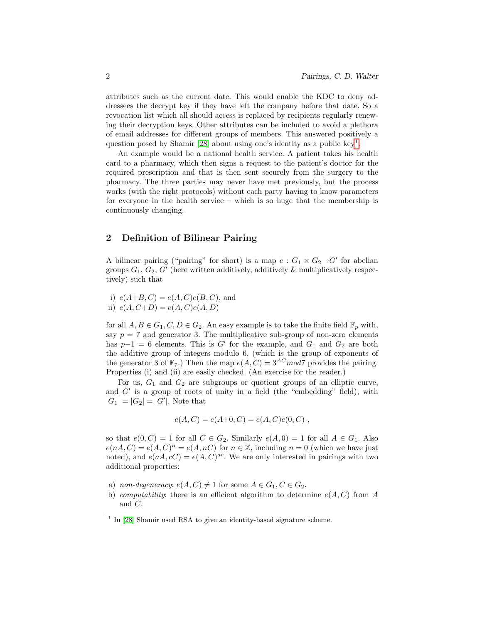attributes such as the current date. This would enable the KDC to deny addressees the decrypt key if they have left the company before that date. So a revocation list which all should access is replaced by recipients regularly renewing their decryption keys. Other attributes can be included to avoid a plethora of email addresses for different groups of members. This answered positively a question posed by Shamir [\[28\]](#page-26-1) about using one's identity as a public key<sup>[1](#page-1-0)</sup>.

An example would be a national health service. A patient takes his health card to a pharmacy, which then signs a request to the patient's doctor for the required prescription and that is then sent securely from the surgery to the pharmacy. The three parties may never have met previously, but the process works (with the right protocols) without each party having to know parameters for everyone in the health service – which is so huge that the membership is continuously changing.

## 2 Definition of Bilinear Pairing

A bilinear pairing ("pairing" for short) is a map  $e: G_1 \times G_2 \rightarrow G'$  for abelian groups  $G_1, G_2, G'$  (here written additively, additively & multiplicatively respectively) such that

i)  $e(A+B, C) = e(A, C)e(B, C)$ , and ii)  $e(A, C+D) = e(A, C)e(A, D)$ 

for all  $A, B \in G_1, C, D \in G_2$ . An easy example is to take the finite field  $\mathbb{F}_p$  with, say  $p = 7$  and generator 3. The multiplicative sub-group of non-zero elements has  $p-1 = 6$  elements. This is G' for the example, and  $G_1$  and  $G_2$  are both the additive group of integers modulo 6, (which is the group of exponents of the generator 3 of  $\mathbb{F}_7$ .) Then the map  $e(A, C) = 3^{AC} \mod 7$  provides the pairing. Properties (i) and (ii) are easily checked. (An exercise for the reader.)

For us,  $G_1$  and  $G_2$  are subgroups or quotient groups of an elliptic curve, and  $G'$  is a group of roots of unity in a field (the "embedding" field), with  $|G_1| = |G_2| = |G'|$ . Note that

$$
e(A, C) = e(A+0, C) = e(A, C)e(0, C) ,
$$

so that  $e(0, C) = 1$  for all  $C \in G_2$ . Similarly  $e(A, 0) = 1$  for all  $A \in G_1$ . Also  $e(nA, C) = e(A, C)^n = e(A, nC)$  for  $n \in \mathbb{Z}$ , including  $n = 0$  (which we have just noted), and  $e(aA, cC) = e(A, C)^{ac}$ . We are only interested in pairings with two additional properties:

- a) non-degeneracy:  $e(A, C) \neq 1$  for some  $A \in G_1, C \in G_2$ .
- b) computability: there is an efficient algorithm to determine  $e(A, C)$  from A and C.

<span id="page-1-0"></span><sup>&</sup>lt;sup>1</sup> In [\[28\]](#page-26-1) Shamir used RSA to give an identity-based signature scheme.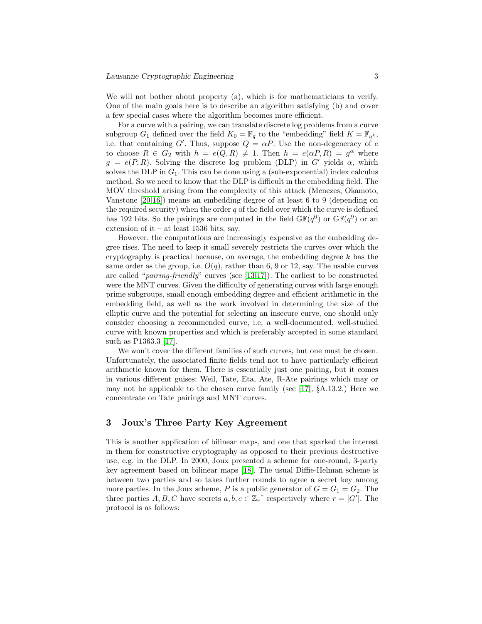We will not bother about property (a), which is for mathematicians to verify. One of the main goals here is to describe an algorithm satisfying (b) and cover a few special cases where the algorithm becomes more efficient.

For a curve with a pairing, we can translate discrete log problems from a curve subgroup  $G_1$  defined over the field  $K_0 = \mathbb{F}_q$  to the "embedding" field  $K = \mathbb{F}_{q^k}$ , i.e. that containing G'. Thus, suppose  $Q = \alpha P$ . Use the non-degeneracy of e to choose  $R \in G_2$  with  $h = e(Q, R) \neq 1$ . Then  $h = e(\alpha P, R) = g^{\alpha}$  where  $g = e(P, R)$ . Solving the discrete log problem (DLP) in G' yields  $\alpha$ , which solves the DLP in  $G_1$ . This can be done using a (sub-exponential) index calculus method. So we need to know that the DLP is difficult in the embedding field. The MOV threshold arising from the complexity of this attack (Menezes, Okamoto, Vanstone [\[20,](#page-26-2)[16\]](#page-26-3)) means an embedding degree of at least 6 to 9 (depending on the required security) when the order  $q$  of the field over which the curve is defined has 192 bits. So the pairings are computed in the field  $\mathbb{GF}(q^6)$  or  $\mathbb{GF}(q^9)$  or an extension of it – at least 1536 bits, say.

However, the computations are increasingly expensive as the embedding degree rises. The need to keep it small severely restricts the curves over which the cryptography is practical because, on average, the embedding degree  $k$  has the same order as the group, i.e.  $O(q)$ , rather than 6, 9 or 12, say. The usable curves are called "pairing-friendly" curves (see [\[13](#page-25-1)[,17\]](#page-26-4)). The earliest to be constructed were the MNT curves. Given the difficulty of generating curves with large enough prime subgroups, small enough embedding degree and efficient arithmetic in the embedding field, as well as the work involved in determining the size of the elliptic curve and the potential for selecting an insecure curve, one should only consider choosing a recommended curve, i.e. a well-documented, well-studied curve with known properties and which is preferably accepted in some standard such as P1363.3 [\[17\]](#page-26-4).

We won't cover the different families of such curves, but one must be chosen. Unfortunately, the associated finite fields tend not to have particularly efficient arithmetic known for them. There is essentially just one pairing, but it comes in various different guises: Weil, Tate, Eta, Ate, R-Ate pairings which may or may not be applicable to the chosen curve family (see [\[17\]](#page-26-4),  $\S$ A.13.2.) Here we concentrate on Tate pairings and MNT curves.

## 3 Joux's Three Party Key Agreement

This is another application of bilinear maps, and one that sparked the interest in them for constructive cryptography as opposed to their previous destructive use, e.g. in the DLP. In 2000, Joux presented a scheme for one-round, 3-party key agreement based on bilinear maps [\[18\]](#page-26-5). The usual Diffie-Helman scheme is between two parties and so takes further rounds to agree a secret key among more parties. In the Joux scheme, P is a public generator of  $G = G_1 = G_2$ . The three parties  $A, B, C$  have secrets  $a, b, c \in \mathbb{Z}_r^*$  respectively where  $r = |G'|$ . The protocol is as follows: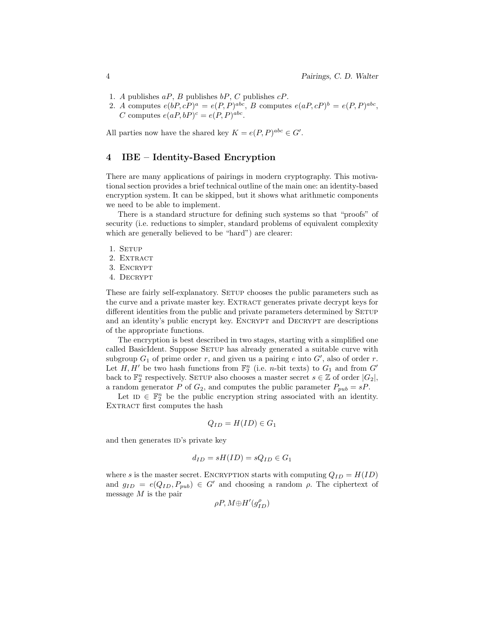- 1. A publishes  $aP$ , B publishes  $bP$ , C publishes  $cP$ .
- 2. A computes  $e(bP, cP)^a = e(P, P)^{abc}$ , B computes  $e(aP, cP)^b = e(P, P)^{abc}$ , C computes  $e(aP,bP)^c = e(P,P)^{abc}$ .

All parties now have the shared key  $K = e(P, P)^{abc} \in G'$ .

## 4 IBE – Identity-Based Encryption

There are many applications of pairings in modern cryptography. This motivational section provides a brief technical outline of the main one: an identity-based encryption system. It can be skipped, but it shows what arithmetic components we need to be able to implement.

There is a standard structure for defining such systems so that "proofs" of security (i.e. reductions to simpler, standard problems of equivalent complexity which are generally believed to be "hard") are clearer:

- 1. SETUP
- 2. EXTRACT
- 3. ENCRYPT
- 4. Decrypt

These are fairly self-explanatory. SETUP chooses the public parameters such as the curve and a private master key. EXTRACT generates private decrypt keys for different identities from the public and private parameters determined by SETUP and an identity's public encrypt key. Encrypt and Decrypt are descriptions of the appropriate functions.

The encryption is best described in two stages, starting with a simplified one called BasicIdent. Suppose SETUP has already generated a suitable curve with subgroup  $G_1$  of prime order r, and given us a pairing e into  $G'$ , also of order r. Let  $H, H'$  be two hash functions from  $\mathbb{F}_2^n$  (i.e. *n*-bit texts) to  $G_1$  and from  $G'$ back to  $\mathbb{F}_2^n$  respectively. SETUP also chooses a master secret  $s \in \mathbb{Z}$  of order  $|G_2|$ , a random generator P of  $G_2$ , and computes the public parameter  $P_{pub} = sP$ .

Let  $\mathbb{I}$   $\in$   $\mathbb{F}_2^n$  be the public encryption string associated with an identity. EXTRACT first computes the hash

$$
Q_{ID} = H(ID) \in G_1
$$

and then generates ID's private key

$$
d_{ID} = sH(ID) = sQ_{ID} \in G_1
$$

where s is the master secret. ENCRYPTION starts with computing  $Q_{ID} = H(ID)$ and  $g_{ID} = e(Q_{ID}, P_{pub}) \in G'$  and choosing a random  $\rho$ . The ciphertext of message  $M$  is the pair

$$
\rho P, M{\oplus}H'(g_{ID}^{\rho})
$$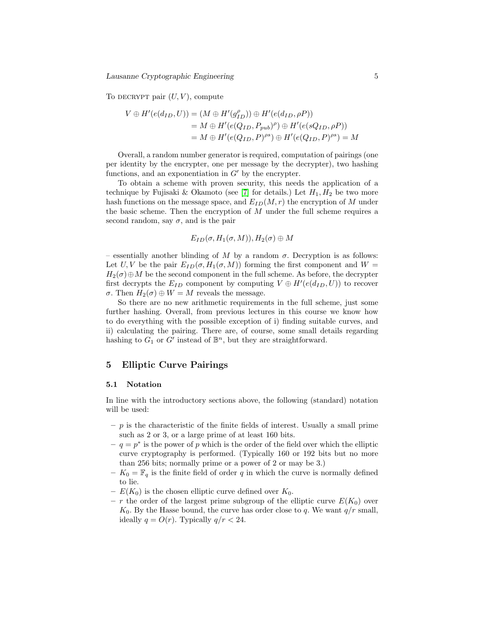Lausanne Cryptographic Engineering 5

To DECRYPT pair  $(U, V)$ , compute

$$
V \oplus H'(e(d_{ID}, U)) = (M \oplus H'(g_{ID}^{\rho})) \oplus H'(e(d_{ID}, \rho P))
$$
  
=  $M \oplus H'(e(Q_{ID}, P_{pub})^{\rho}) \oplus H'(e(sQ_{ID}, \rho P))$   
=  $M \oplus H'(e(Q_{ID}, P)^{\rho s}) \oplus H'(e(Q_{ID}, P)^{\rho s}) = M$ 

Overall, a random number generator is required, computation of pairings (one per identity by the encrypter, one per message by the decrypter), two hashing functions, and an exponentiation in  $G'$  by the encrypter.

To obtain a scheme with proven security, this needs the application of a technique by Fujisaki & Okamoto (see [\[7\]](#page-25-0) for details.) Let  $H_1, H_2$  be two more hash functions on the message space, and  $E_{ID}(M, r)$  the encryption of M under the basic scheme. Then the encryption of  $M$  under the full scheme requires a second random, say  $\sigma$ , and is the pair

$$
E_{ID}(\sigma,H_1(\sigma,M)),H_2(\sigma)\oplus M
$$

– essentially another blinding of M by a random  $\sigma$ . Decryption is as follows: Let U, V be the pair  $E_{ID}(\sigma, H_1(\sigma, M))$  forming the first component and  $W =$  $H_2(\sigma) \oplus M$  be the second component in the full scheme. As before, the decrypter first decrypts the  $E_{ID}$  component by computing  $V \oplus H'(e(d_{ID}, U))$  to recover σ. Then  $H_2(\sigma) \oplus W = M$  reveals the message.

So there are no new arithmetic requirements in the full scheme, just some further hashing. Overall, from previous lectures in this course we know how to do everything with the possible exception of i) finding suitable curves, and ii) calculating the pairing. There are, of course, some small details regarding hashing to  $G_1$  or  $G'$  instead of  $\mathbb{B}^n$ , but they are straightforward.

## 5 Elliptic Curve Pairings

### 5.1 Notation

In line with the introductory sections above, the following (standard) notation will be used:

- $-p$  is the characteristic of the finite fields of interest. Usually a small prime such as 2 or 3, or a large prime of at least 160 bits.
- $q = p^*$  is the power of p which is the order of the field over which the elliptic curve cryptography is performed. (Typically 160 or 192 bits but no more than 256 bits; normally prime or a power of 2 or may be 3.)
- $K_0 = \mathbb{F}_q$  is the finite field of order q in which the curve is normally defined to lie.
- $E(K_0)$  is the chosen elliptic curve defined over  $K_0$ .
- r the order of the largest prime subgroup of the elliptic curve  $E(K_0)$  over  $K_0$ . By the Hasse bound, the curve has order close to q. We want  $q/r$  small, ideally  $q = O(r)$ . Typically  $q/r < 24$ .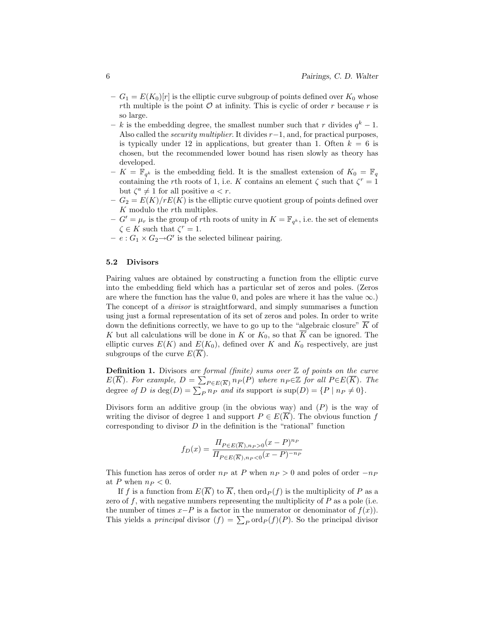- $-G_1 = E(K_0)[r]$  is the elliptic curve subgroup of points defined over  $K_0$  whose rth multiple is the point  $\mathcal O$  at infinity. This is cyclic of order r because r is so large.
- k is the embedding degree, the smallest number such that r divides  $q^k 1$ . Also called the *security multiplier*. It divides  $r-1$ , and, for practical purposes, is typically under 12 in applications, but greater than 1. Often  $k = 6$  is chosen, but the recommended lower bound has risen slowly as theory has developed.
- $K = \overline{\mathbb{F}}_{q^k}$  is the embedding field. It is the smallest extension of  $K_0 = \mathbb{F}_q$ containing the rth roots of 1, i.e. K contains an element  $\zeta$  such that  $\zeta^r = 1$ but  $\zeta^a \neq 1$  for all positive  $a < r$ .
- $-G_2 = E(K)/rE(K)$  is the elliptic curve quotient group of points defined over K modulo the rth multiples.
- $-G' = \mu_r$  is the group of rth roots of unity in  $K = \mathbb{F}_{q^k}$ , i.e. the set of elements  $\zeta \in K$  such that  $\zeta^r = 1$ .
- $-e: G_1 \times G_2 \rightarrow G'$  is the selected bilinear pairing.

### 5.2 Divisors

Pairing values are obtained by constructing a function from the elliptic curve into the embedding field which has a particular set of zeros and poles. (Zeros are where the function has the value 0, and poles are where it has the value  $\infty$ .) The concept of a divisor is straightforward, and simply summarises a function using just a formal representation of its set of zeros and poles. In order to write down the definitions correctly, we have to go up to the "algebraic closure"  $\overline{K}$  of K but all calculations will be done in K or  $K_0$ , so that  $\overline{K}$  can be ignored. The elliptic curves  $E(K)$  and  $E(K_0)$ , defined over K and  $K_0$  respectively, are just subgroups of the curve  $E(\overline{K})$ .

**Definition 1.** Divisors are formal (finite) sums over  $\mathbb{Z}$  of points on the curve  $E(\overline{K})$ . For example,  $D = \sum_{P \in E(\overline{K})} n_P(P)$  where  $n_P \in \mathbb{Z}$  for all  $P \in E(\overline{K})$ . The degree of D is  $deg(D) = \sum_P n_P$  and its support is  $sup(D) = \{P \mid n_P \neq 0\}.$ 

Divisors form an additive group (in the obvious way) and  $(P)$  is the way of writing the divisor of degree 1 and support  $P \in E(K)$ . The obvious function f corresponding to divisor  $D$  in the definition is the "rational" function

$$
f_D(x) = \frac{\Pi_{P \in E(\overline{K}), n_P > 0} (x - P)^{n_P}}{\Pi_{P \in E(\overline{K}), n_P < 0} (x - P)^{-n_P}}
$$

This function has zeros of order  $n_P$  at P when  $n_P > 0$  and poles of order  $-n_P$ at P when  $n_P < 0$ .

If f is a function from  $E(\overline{K})$  to  $\overline{K}$ , then  $\text{ord}_P(f)$  is the multiplicity of P as a zero of f, with negative numbers representing the multiplicity of  $P$  as a pole (i.e. the number of times  $x-P$  is a factor in the numerator or denominator of  $f(x)$ ). This yields a *principal* divisor  $(f) = \sum_P \text{ord}_P(f)(P)$ . So the principal divisor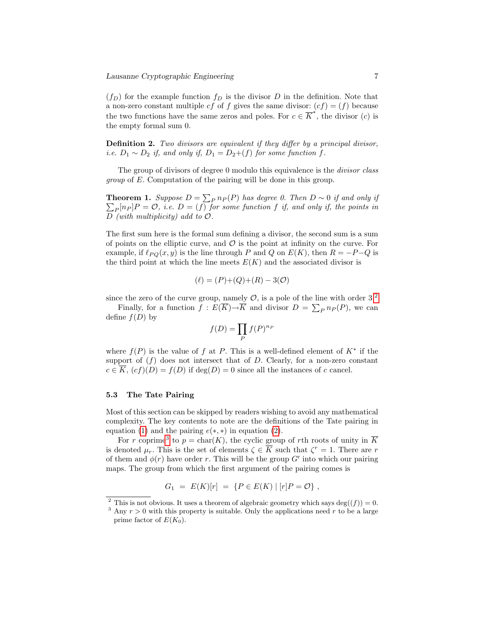$(f_D)$  for the example function  $f_D$  is the divisor D in the definition. Note that a non-zero constant multiple cf of f gives the same divisor:  $(cf) = (f)$  because the two functions have the same zeros and poles. For  $c \in \overline{K}^*$ , the divisor (c) is the empty formal sum 0.

**Definition 2.** Two divisors are equivalent if they differ by a principal divisor, i.e.  $D_1 \sim D_2$  if, and only if,  $D_1 = D_2 + (f)$  for some function f.

The group of divisors of degree 0 modulo this equivalence is the *divisor class* group of E. Computation of the pairing will be done in this group.

**Theorem 1.** Suppose  $D = \sum_{P} n_P(P)$  has degree 0. Then  $D \sim 0$  if and only if  $\sum_{P} [n_P]P = \mathcal{O}$ , i.e.  $D = (f)$  for some function f if, and only if, the points in  $D$  (with multiplicity) add to  $\mathcal{O}$ .

The first sum here is the formal sum defining a divisor, the second sum is a sum of points on the elliptic curve, and  $\mathcal O$  is the point at infinity on the curve. For example, if  $\ell_{PO}(x, y)$  is the line through P and Q on  $E(K)$ , then  $R = -P-Q$  is the third point at which the line meets  $E(K)$  and the associated divisor is

$$
(\ell) = (P)+(Q)+(R) - 3(O)
$$

since the zero of the curve group, namely  $\mathcal{O}$ , is a pole of the line with order  $3<sup>2</sup>$  $3<sup>2</sup>$  $3<sup>2</sup>$ 

Finally, for a function  $f: E(\overline{K}) \to \overline{K}$  and divisor  $D = \sum_P n_P(P)$ , we can define  $f(D)$  by

$$
f(D) = \prod_P f(P)^{n_P}
$$

where  $f(P)$  is the value of f at P. This is a well-defined element of  $K^*$  if the support of  $(f)$  does not intersect that of D. Clearly, for a non-zero constant  $c \in \overline{K}$ ,  $(cf)(D) = f(D)$  if  $deg(D) = 0$  since all the instances of c cancel.

### 5.3 The Tate Pairing

Most of this section can be skipped by readers wishing to avoid any mathematical complexity. The key contents to note are the definitions of the Tate pairing in equation [\(1\)](#page-7-0) and the pairing  $e(*, *)$  in equation [\(2\)](#page-7-1).

For r coprime<sup>[3](#page-6-1)</sup> to  $p = \text{char}(K)$ , the cyclic group of rth roots of unity in  $\overline{K}$ is denoted  $\mu_r$ . This is the set of elements  $\zeta \in \overline{K}$  such that  $\zeta^r = 1$ . There are r of them and  $\phi(r)$  have order r. This will be the group  $G'$  into which our pairing maps. The group from which the first argument of the pairing comes is

$$
G_1 = E(K)[r] = \{ P \in E(K) \mid [r]P = \mathcal{O} \},
$$

<span id="page-6-0"></span><sup>&</sup>lt;sup>2</sup> This is not obvious. It uses a theorem of algebraic geometry which says deg( $(f)$ ) = 0.

<span id="page-6-1"></span><sup>&</sup>lt;sup>3</sup> Any  $r > 0$  with this property is suitable. Only the applications need r to be a large prime factor of  $E(K_0)$ .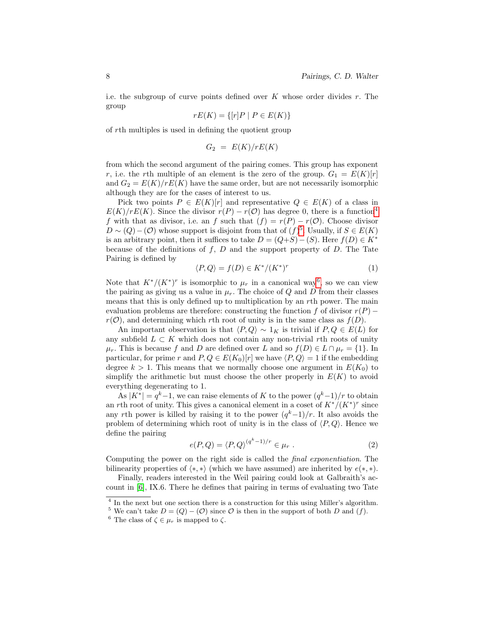i.e. the subgroup of curve points defined over  $K$  whose order divides  $r$ . The group

$$
rE(K) = \{ [r]P \mid P \in E(K) \}
$$

of rth multiples is used in defining the quotient group

$$
G_2 = E(K)/rE(K)
$$

from which the second argument of the pairing comes. This group has exponent r, i.e. the rth multiple of an element is the zero of the group.  $G_1 = E(K)[r]$ and  $G_2 = E(K)/rE(K)$  have the same order, but are not necessarily isomorphic although they are for the cases of interest to us.

Pick two points  $P \in E(K)[r]$  and representative  $Q \in E(K)$  of a class in  $E(K)/rE(K)$ . Since the divisor  $r(P) - r(O)$  has degree 0, there is a function<sup>[4](#page-7-2)</sup> f with that as divisor, i.e. an f such that  $(f) = r(P) - r(O)$ . Choose divisor  $D \sim (Q) - (\mathcal{O})$  whose support is disjoint from that of  $(f)^5$  $(f)^5$ . Usually, if  $S \in E(K)$ is an arbitrary point, then it suffices to take  $D = (Q+S) - (S)$ . Here  $f(D) \in K^*$ because of the definitions of  $f, D$  and the support property of  $D$ . The Tate Pairing is defined by

<span id="page-7-0"></span>
$$
\langle P, Q \rangle = f(D) \in K^* / (K^*)^r \tag{1}
$$

Note that  $K^*/(K^*)^r$  is isomorphic to  $\mu_r$  in a canonical way<sup>[6](#page-7-4)</sup>, so we can view the pairing as giving us a value in  $\mu_r$ . The choice of Q and D from their classes means that this is only defined up to multiplication by an rth power. The main evaluation problems are therefore: constructing the function f of divisor  $r(P)$  –  $r(\mathcal{O})$ , and determining which rth root of unity is in the same class as  $f(D)$ .

An important observation is that  $\langle P, Q \rangle \sim 1_K$  is trivial if  $P, Q \in E(L)$  for any subfield  $L \subset K$  which does not contain any non-trivial rth roots of unity  $\mu_r$ . This is because f and D are defined over L and so  $f(D) \in L \cap \mu_r = \{1\}$ . In particular, for prime r and  $P, Q \in E(K_0)[r]$  we have  $\langle P, Q \rangle = 1$  if the embedding degree  $k > 1$ . This means that we normally choose one argument in  $E(K_0)$  to simplify the arithmetic but must choose the other properly in  $E(K)$  to avoid everything degenerating to 1.

As  $|K^*| = q^k - 1$ , we can raise elements of K to the power  $(q^k-1)/r$  to obtain an rth root of unity. This gives a canonical element in a coset of  $K^*/(K^*)^r$  since any rth power is killed by raising it to the power  $(q<sup>k</sup>-1)/r$ . It also avoids the problem of determining which root of unity is in the class of  $\langle P, Q \rangle$ . Hence we define the pairing

<span id="page-7-1"></span>
$$
e(P,Q) = \langle P,Q \rangle^{(q^k-1)/r} \in \mu_r . \tag{2}
$$

Computing the power on the right side is called the final exponentiation. The bilinearity properties of  $\langle *, * \rangle$  (which we have assumed) are inherited by  $e(*, *)$ .

Finally, readers interested in the Weil pairing could look at Galbraith's account in [\[6\]](#page-25-2), IX.6. There he defines that pairing in terms of evaluating two Tate

<span id="page-7-2"></span><sup>&</sup>lt;sup>4</sup> In the next but one section there is a construction for this using Miller's algorithm.

<span id="page-7-3"></span><sup>&</sup>lt;sup>5</sup> We can't take  $D = (Q) - (O)$  since O is then in the support of both D and (f).

<span id="page-7-4"></span><sup>&</sup>lt;sup>6</sup> The class of  $\zeta \in \mu_r$  is mapped to  $\zeta$ .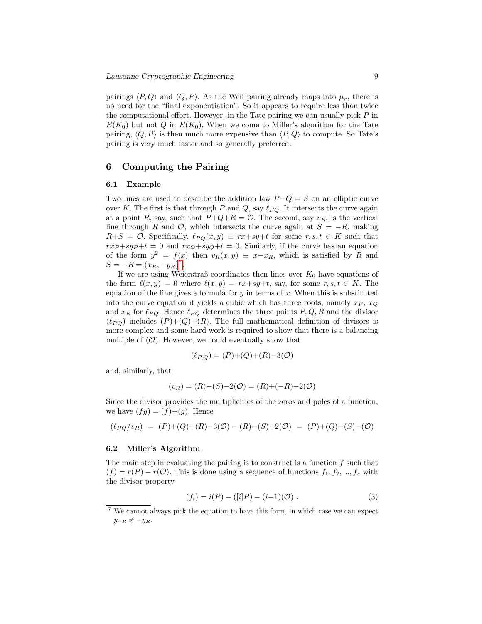pairings  $\langle P, Q \rangle$  and  $\langle Q, P \rangle$ . As the Weil pairing already maps into  $\mu_r$ , there is no need for the "final exponentiation". So it appears to require less than twice the computational effort. However, in the Tate pairing we can usually pick  $P$  in  $E(K_0)$  but not Q in  $E(K_0)$ . When we come to Miller's algorithm for the Tate pairing,  $\langle Q, P \rangle$  is then much more expensive than  $\langle P, Q \rangle$  to compute. So Tate's pairing is very much faster and so generally preferred.

## 6 Computing the Pairing

#### <span id="page-8-1"></span>6.1 Example

Two lines are used to describe the addition law  $P+Q = S$  on an elliptic curve over K. The first is that through P and Q, say  $\ell_{PQ}$ . It intersects the curve again at a point R, say, such that  $P+Q+R = \mathcal{O}$ . The second, say  $v_R$ , is the vertical line through R and  $\mathcal{O}$ , which intersects the curve again at  $S = -R$ , making  $R+S = \mathcal{O}$ . Specifically,  $\ell_{PO}(x, y) \equiv rx+sy+t$  for some  $r, s, t \in K$  such that  $rx_P + sy_P + t = 0$  and  $rx_Q + sy_Q + t = 0$ . Similarly, if the curve has an equation of the form  $y^2 = f(x)$  then  $v_R(x, y) \equiv x - x_R$ , which is satisfied by R and  $S = -R = (x_R, -y_R)^7.$  $S = -R = (x_R, -y_R)^7.$  $S = -R = (x_R, -y_R)^7.$ 

If we are using Weierstraß coordinates then lines over  $K_0$  have equations of the form  $\ell(x, y) = 0$  where  $\ell(x, y) = rx+sy+t$ , say, for some  $r, s, t \in K$ . The equation of the line gives a formula for  $y$  in terms of x. When this is substituted into the curve equation it yields a cubic which has three roots, namely  $x_P$ ,  $x_Q$ and  $x_R$  for  $\ell_{PQ}$ . Hence  $\ell_{PQ}$  determines the three points  $P, Q, R$  and the divisor  $(\ell_{PO})$  includes  $(P)+(Q)+(R)$ . The full mathematical definition of divisors is more complex and some hard work is required to show that there is a balancing multiple of  $(0)$ . However, we could eventually show that

$$
(\ell_{P,Q}) = (P) + (Q) + (R) - 3(\mathcal{O})
$$

and, similarly, that

$$
(v_R) = (R) + (S) - 2(\mathcal{O}) = (R) + (-R) - 2(\mathcal{O})
$$

Since the divisor provides the multiplicities of the zeros and poles of a function, we have  $(fg) = (f)+(g)$ . Hence

$$
(\ell_{PQ}/v_R) = (P) + (Q) + (R) - 3(Q) - (R) - (S) + 2(Q) = (P) + (Q) - (S) - (Q)
$$

#### 6.2 Miller's Algorithm

The main step in evaluating the pairing is to construct is a function  $f$  such that  $(f) = r(P) - r(O)$ . This is done using a sequence of functions  $f_1, f_2, ..., f_r$  with the divisor property

<span id="page-8-2"></span>
$$
(f_i) = i(P) - ([i]P) - (i-1)(\mathcal{O}) . \tag{3}
$$

<span id="page-8-0"></span><sup>7</sup> We cannot always pick the equation to have this form, in which case we can expect  $y_{-R} \neq -y_R$ .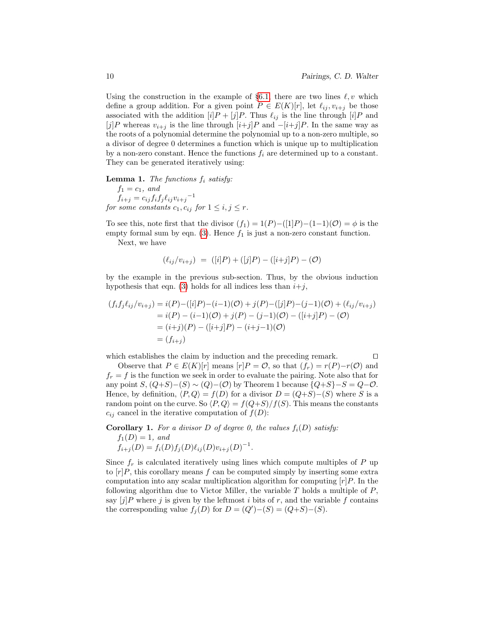Using the construction in the example of §[6.1,](#page-8-1) there are two lines  $\ell, v$  which define a group addition. For a given point  $P \in E(K)[r]$ , let  $\ell_{ij}, v_{i+j}$  be those associated with the addition  $[i]P + [j]P$ . Thus  $\ell_{ij}$  is the line through  $[i]P$  and [j]P whereas  $v_{i+j}$  is the line through  $[i+j]P$  and  $-[i+j]P$ . In the same way as the roots of a polynomial determine the polynomial up to a non-zero multiple, so a divisor of degree 0 determines a function which is unique up to multiplication by a non-zero constant. Hence the functions  $f_i$  are determined up to a constant. They can be generated iteratively using:

## **Lemma 1.** The functions  $f_i$  satisfy:

 $f_1 = c_1, \text{ and}$  $f_{i+j} = c_{ij} f_i f_j \ell_{ij} v_{i+j}^{-1}$ for some constants  $c_1, c_{ij}$  for  $1 \leq i, j \leq r$ .

To see this, note first that the divisor  $(f_1) = 1(P) - ([1]P) - (1-1)(\mathcal{O}) = \phi$  is the empty formal sum by eqn. [\(3\)](#page-8-2). Hence  $f_1$  is just a non-zero constant function.

Next, we have

$$
(\ell_{ij}/v_{i+j}) = ([i]P) + ([j]P) - ([i+j]P) - (\mathcal{O})
$$

by the example in the previous sub-section. Thus, by the obvious induction hypothesis that eqn. [\(3\)](#page-8-2) holds for all indices less than  $i+j$ ,

$$
(f_i f_j \ell_{ij}/v_{i+j}) = i(P) - ([i]P) - (i-1)(O) + j(P) - ([j]P) - (j-1)(O) + (\ell_{ij}/v_{i+j})
$$
  
=  $i(P) - (i-1)(O) + j(P) - (j-1)(O) - ([i+j]P) - (O)$   
=  $(i+j)(P) - ([i+j]P) - (i+j-1)(O)$   
=  $(f_{i+j})$ 

which establishes the claim by induction and the preceding remark.  $\Box$ 

Observe that  $P \in E(K)[r]$  means  $[r]P = \mathcal{O}$ , so that  $(f_r) = r(P) - r(\mathcal{O})$  and  $f_r = f$  is the function we seek in order to evaluate the pairing. Note also that for any point  $S$ ,  $(Q+S)-(S) \sim (Q)-(O)$  by Theorem 1 because  $\{Q+S\}-S=Q-O$ . Hence, by definition,  $\langle P, Q \rangle = f(D)$  for a divisor  $D = (Q+S)–(S)$  where S is a random point on the curve. So  $\langle P, Q \rangle = f(Q+S)/f(S)$ . This means the constants  $c_{ij}$  cancel in the iterative computation of  $f(D)$ :

**Corollary 1.** For a divisor D of degree 0, the values  $f_i(D)$  satisfy:  $f_1(D) = 1$ , and

<span id="page-9-0"></span>
$$
f_{i+j}(D) = f_i(D)f_j(D)\ell_{ij}(D)v_{i+j}(D)^{-1}.
$$

Since  $f_r$  is calculated iteratively using lines which compute multiples of P up to  $[r]P$ , this corollary means f can be computed simply by inserting some extra computation into any scalar multiplication algorithm for computing  $[r]P$ . In the following algorithm due to Victor Miller, the variable  $T$  holds a multiple of  $P$ , say  $[i]P$  where j is given by the leftmost i bits of r, and the variable f contains the corresponding value  $f_j(D)$  for  $D = (Q')-(S) = (Q+S)-(S)$ .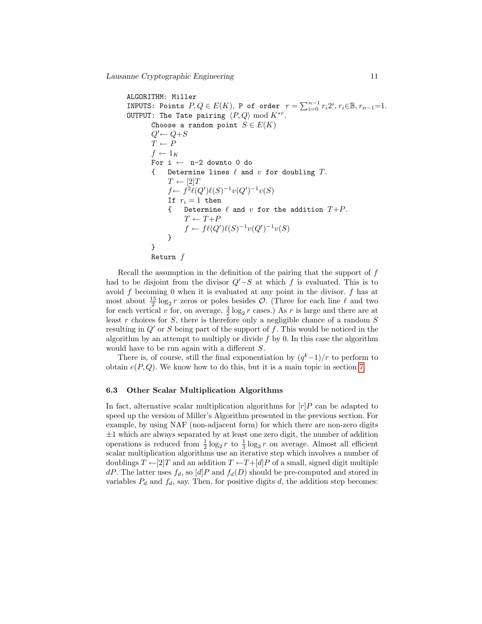ALGORITHM: Miller INPUTS: Points  $P,Q\in E(K),$  P of order  $r=\sum_{i=0}^{n-1}r_i2^i, r_i{\in}\mathbb{B}, r_{n-1}{=}1.$ OUTPUT: The Tate pairing  $\langle P, Q \rangle \bmod K^{*r}$ . Choose a random point  $S \in E(K)$  $Q' \leftarrow Q + S$  $T \leftarrow P$  $f \leftarrow 1_K$ For  $i \leftarrow n-2$  downto 0 do { Determine lines  $\ell$  and  $v$  for doubling  $T$ .  $T \leftarrow [2]T$  $f \leftarrow f^2 \ell(Q') \ell(S)^{-1} v(Q')^{-1} v(S)$ If  $r_i = 1$  then Determine  $\ell$  and  $v$  for the addition  $T+P$ .  $T \leftarrow T + P$  $f \leftarrow f\ell(Q')\ell(S)^{-1}v(Q')^{-1}v(S)$ } } Return f

Recall the assumption in the definition of the pairing that the support of  $f$ had to be disjoint from the divisor  $Q'-S$  at which f is evaluated. This is to avoid  $f$  becoming 0 when it is evaluated at any point in the divisor.  $f$  has at most about  $\frac{15}{2} \log_2 r$  zeros or poles besides  $\mathcal{O}$ . (Three for each line  $\ell$  and two for each vertical v for, on average,  $\frac{3}{2} \log_2 r$  cases.) As r is large and there are at least r choices for S, there is therefore only a negligible chance of a random S resulting in  $Q'$  or S being part of the support of f. This would be noticed in the algorithm by an attempt to multiply or divide  $f$  by 0. In this case the algorithm would have to be run again with a different S.

There is, of course, still the final exponentiation by  $(q<sup>k</sup>-1)/r$  to perform to obtain  $e(P, Q)$ . We know how to do this, but it is a main topic in section [7.](#page-12-0)

### 6.3 Other Scalar Multiplication Algorithms

In fact, alternative scalar multiplication algorithms for  $[r]P$  can be adapted to speed up the version of Miller's Algorithm presented in the previous section. For example, by using NAF (non-adjacent form) for which there are non-zero digits  $\pm 1$  which are always separated by at least one zero digit, the number of addition operations is reduced from  $\frac{1}{2} \log_2 r$  to  $\frac{1}{3} \log_2 r$  on average. Almost all efficient scalar multiplication algorithms use an iterative step which involves a number of doublings  $T \leftarrow [2]T$  and an addition  $T \leftarrow T+[d]P$  of a small, signed digit multiple  $dP$ . The latter uses  $f_d$ , so  $[d]P$  and  $f_d(D)$  should be pre-computed and stored in variables  $P_d$  and  $f_d$ , say. Then, for positive digits d, the addition step becomes: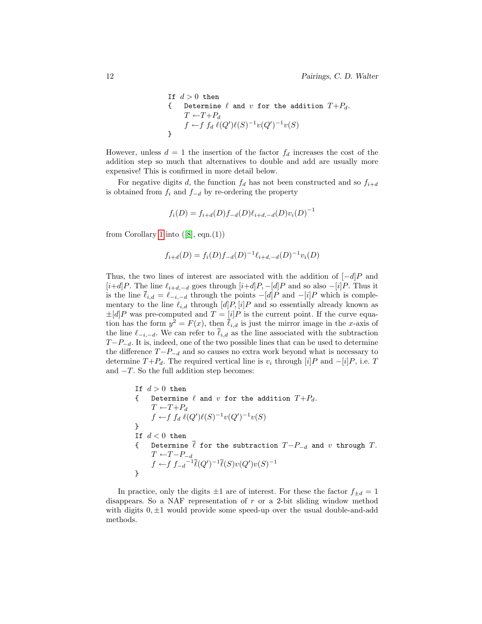If 
$$
d > 0
$$
 then  
\n{ Determine  $\ell$  and  $v$  for the addition  $T+P_d$ .  
\n $T \leftarrow T+P_d$   
\n $f \leftarrow f f_d \ell(Q')\ell(S)^{-1}v(Q')^{-1}v(S)$ 

However, unless  $d = 1$  the insertion of the factor  $f_d$  increases the cost of the addition step so much that alternatives to double and add are usually more expensive! This is confirmed in more detail below.

For negative digits d, the function  $f_d$  has not been constructed and so  $f_{i+d}$ is obtained from  $f_i$  and  $f_{-d}$  by re-ordering the property

$$
f_i(D) = f_{i+d}(D)f_{-d}(D)\ell_{i+d,-d}(D)v_i(D)^{-1}
$$

from Corollary [1](#page-9-0) into  $([8], eqn.(1))$  $([8], eqn.(1))$  $([8], eqn.(1))$ 

$$
f_{i+d}(D) = f_i(D)f_{-d}(D)^{-1} \ell_{i+d,-d}(D)^{-1} v_i(D)
$$

Thus, the two lines of interest are associated with the addition of  $[-d]P$  and [i+d]P. The line  $\ell_{i+d,-d}$  goes through [i+d]P, -[d]P and so also -[i]P. Thus it is the line  $\bar{\ell}_{i,d} = \ell_{-i,-d}$  through the points  $-[d]P$  and  $-[i]P$  which is complementary to the line  $\ell_{i,d}$  through  $[d]P, [i]P$  and so essentially already known as  $\pm [d]P$  was pre-computed and  $T = [i]P$  is the current point. If the curve equation has the form  $y^2 = F(x)$ , then  $\bar{\ell}_{i,d}$  is just the mirror image in the x-axis of the line  $\ell_{-i,-d}$ . We can refer to  $\overline{\ell}_{i,d}$  as the line associated with the subtraction  $T-P_{-d}$ . It is, indeed, one of the two possible lines that can be used to determine the difference  $T-P_{-d}$  and so causes no extra work beyond what is necessary to determine  $T+P_d$ . The required vertical line is  $v_i$  through  $[i]P$  and  $-[i]P$ , i.e. T and  $-T$ . So the full addition step becomes:

If 
$$
d > 0
$$
 then  
\n{ Determine  $\ell$  and  $v$  for the addition  $T+P_d$ .  
\n $T \leftarrow T+P_d$   
\n $f \leftarrow f f_d \ell(Q')\ell(S)^{-1}v(Q')^{-1}v(S)$   
\n} If  $d < 0$  then  
\n{ Determine  $\overline{\ell}$  for the subtraction  $T-P_{-d}$  and  $v$  through  $T$ .  
\n $T \leftarrow T-P_{-d}$   
\n $f \leftarrow f f_{-d}^{-1} \overline{\ell}(Q')^{-1} \overline{\ell}(S)v(Q')v(S)^{-1}$ 

In practice, only the digits  $\pm 1$  are of interest. For these the factor  $f_{\pm d} = 1$ disappears. So a NAF representation of r or a 2-bit sliding window method with digits  $0, \pm 1$  would provide some speed-up over the usual double-and-add methods.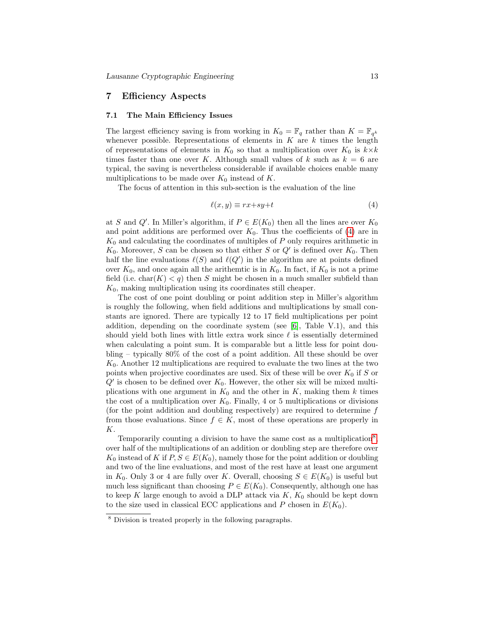## <span id="page-12-0"></span>7 Efficiency Aspects

### 7.1 The Main Efficiency Issues

The largest efficiency saving is from working in  $K_0 = \mathbb{F}_q$  rather than  $K = \mathbb{F}_{q^k}$ whenever possible. Representations of elements in  $K$  are  $k$  times the length of representations of elements in  $K_0$  so that a multiplication over  $K_0$  is  $k \times k$ times faster than one over K. Although small values of k such as  $k = 6$  are typical, the saving is nevertheless considerable if available choices enable many multiplications to be made over  $K_0$  instead of K.

The focus of attention in this sub-section is the evaluation of the line

<span id="page-12-1"></span>
$$
\ell(x, y) \equiv rx + sy + t \tag{4}
$$

at S and Q'. In Miller's algorithm, if  $P \in E(K_0)$  then all the lines are over  $K_0$ and point additions are performed over  $K_0$ . Thus the coefficients of [\(4\)](#page-12-1) are in  $K_0$  and calculating the coordinates of multiples of P only requires arithmetic in  $K_0$ . Moreover, S can be chosen so that either S or  $Q'$  is defined over  $K_0$ . Then half the line evaluations  $\ell(S)$  and  $\ell(Q')$  in the algorithm are at points defined over  $K_0$ , and once again all the arithemtic is in  $K_0$ . In fact, if  $K_0$  is not a prime field (i.e. char $(K) < q$ ) then S might be chosen in a much smaller subfield than  $K_0$ , making multiplication using its coordinates still cheaper.

The cost of one point doubling or point addition step in Miller's algorithm is roughly the following, when field additions and multiplications by small constants are ignored. There are typically 12 to 17 field multiplications per point addition, depending on the coordinate system (see  $[6]$ , Table V.1), and this should yield both lines with little extra work since  $\ell$  is essentially determined when calculating a point sum. It is comparable but a little less for point doubling – typically 80% of the cost of a point addition. All these should be over  $K_0$ . Another 12 multiplications are required to evaluate the two lines at the two points when projective coordinates are used. Six of these will be over  $K_0$  if S or  $Q'$  is chosen to be defined over  $K_0$ . However, the other six will be mixed multiplications with one argument in  $K_0$  and the other in K, making them k times the cost of a multiplication over  $K_0$ . Finally, 4 or 5 multiplications or divisions (for the point addition and doubling respectively) are required to determine  $f$ from those evaluations. Since  $f \in K$ , most of these operations are properly in K.

Temporarily counting a division to have the same cost as a multiplication<sup>[8](#page-12-2)</sup>, over half of the multiplications of an addition or doubling step are therefore over  $K_0$  instead of K if  $P, S \in E(K_0)$ , namely those for the point addition or doubling and two of the line evaluations, and most of the rest have at least one argument in  $K_0$ . Only 3 or 4 are fully over K. Overall, choosing  $S \in E(K_0)$  is useful but much less significant than choosing  $P \in E(K_0)$ . Consequently, although one has to keep  $K$  large enough to avoid a DLP attack via  $K$ ,  $K_0$  should be kept down to the size used in classical ECC applications and P chosen in  $E(K_0)$ .

<span id="page-12-2"></span><sup>8</sup> Division is treated properly in the following paragraphs.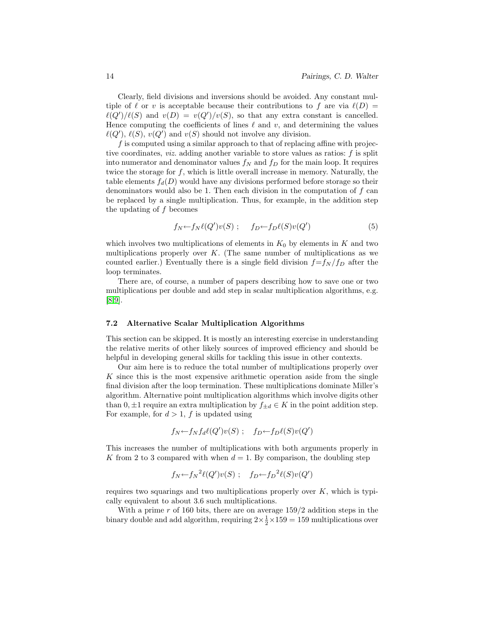Clearly, field divisions and inversions should be avoided. Any constant multiple of  $\ell$  or v is acceptable because their contributions to f are via  $\ell(D) =$  $\ell(Q')/\ell(S)$  and  $v(D) = v(Q')/v(S)$ , so that any extra constant is cancelled. Hence computing the coefficients of lines  $\ell$  and  $v$ , and determining the values  $\ell(Q'), \ell(S), v(Q')$  and  $v(S)$  should not involve any division.

 $f$  is computed using a similar approach to that of replacing affine with projective coordinates, *viz.* adding another variable to store values as ratios:  $f$  is split into numerator and denominator values  $f_N$  and  $f_D$  for the main loop. It requires twice the storage for  $f$ , which is little overall increase in memory. Naturally, the table elements  $f_d(D)$  would have any divisions performed before storage so their denominators would also be 1. Then each division in the computation of  $f$  can be replaced by a single multiplication. Thus, for example, in the addition step the updating of f becomes

$$
f_N \leftarrow f_N \ell(Q') v(S) \; ; \quad f_D \leftarrow f_D \ell(S) v(Q') \tag{5}
$$

which involves two multiplications of elements in  $K_0$  by elements in K and two multiplications properly over  $K$ . (The same number of multiplications as we counted earlier.) Eventually there is a single field division  $f=f_N/f_D$  after the loop terminates.

There are, of course, a number of papers describing how to save one or two multiplications per double and add step in scalar multiplication algorithms, e.g. [\[8,](#page-25-3)[9\]](#page-25-4).

### 7.2 Alternative Scalar Multiplication Algorithms

This section can be skipped. It is mostly an interesting exercise in understanding the relative merits of other likely sources of improved efficiency and should be helpful in developing general skills for tackling this issue in other contexts.

Our aim here is to reduce the total number of multiplications properly over  $K$  since this is the most expensive arithmetic operation aside from the single final division after the loop termination. These multiplications dominate Miller's algorithm. Alternative point multiplication algorithms which involve digits other than  $0, \pm 1$  require an extra multiplication by  $f_{\pm d} \in K$  in the point addition step. For example, for  $d > 1$ , f is updated using

$$
f_N \leftarrow f_N f_d \ell(Q') v(S) \; ; \quad f_D \leftarrow f_D \ell(S) v(Q')
$$

This increases the number of multiplications with both arguments properly in K from 2 to 3 compared with when  $d = 1$ . By comparison, the doubling step

$$
f_N \leftarrow f_N^2 \ell(Q') v(S) \; ; \quad f_D \leftarrow f_D^2 \ell(S) v(Q')
$$

requires two squarings and two multiplications properly over  $K$ , which is typically equivalent to about 3.6 such multiplications.

With a prime  $r$  of 160 bits, there are on average  $159/2$  addition steps in the binary double and add algorithm, requiring  $2 \times \frac{1}{2} \times 159 = 159$  multiplications over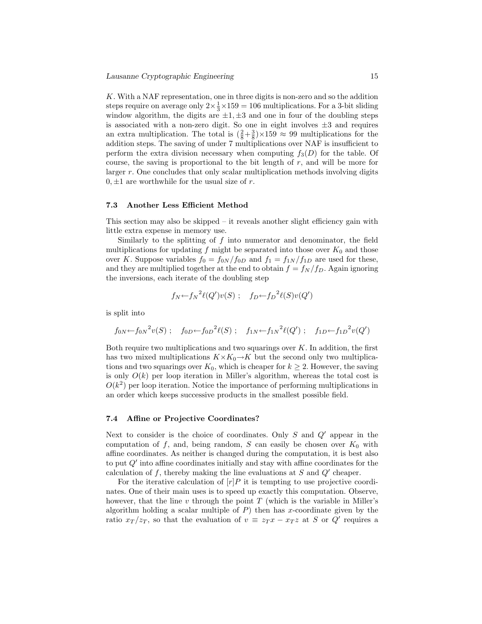K. With a NAF representation, one in three digits is non-zero and so the addition steps require on average only  $2 \times \frac{1}{3} \times 159 = 106$  multiplications. For a 3-bit sliding window algorithm, the digits are  $\pm 1, \pm 3$  and one in four of the doubling steps is associated with a non-zero digit. So one in eight involves  $\pm 3$  and requires an extra multiplication. The total is  $(\frac{2}{8} + \frac{3}{8}) \times 159 \approx 99$  multiplications for the addition steps. The saving of under 7 multiplications over NAF is insufficient to perform the extra division necessary when computing  $f_3(D)$  for the table. Of course, the saving is proportional to the bit length of  $r$ , and will be more for larger r. One concludes that only scalar multiplication methods involving digits  $0, \pm 1$  are worthwhile for the usual size of r.

#### 7.3 Another Less Efficient Method

This section may also be skipped – it reveals another slight efficiency gain with little extra expense in memory use.

Similarly to the splitting of  $f$  into numerator and denominator, the field multiplications for updating f might be separated into those over  $K_0$  and those over K. Suppose variables  $f_0 = f_{0N}/f_{0D}$  and  $f_1 = f_{1N}/f_{1D}$  are used for these, and they are multiplied together at the end to obtain  $f = f_N/f_D$ . Again ignoring the inversions, each iterate of the doubling step

$$
f_N \leftarrow f_N^2 \ell(Q') v(S) \; ; \quad f_D \leftarrow f_D^2 \ell(S) v(Q')
$$

is split into

$$
f_{0N} \leftarrow f_{0N}^2 v(S)
$$
;  $f_{0D} \leftarrow f_{0D}^2 \ell(S)$ ;  $f_{1N} \leftarrow f_{1N}^2 \ell(Q')$ ;  $f_{1D} \leftarrow f_{1D}^2 v(Q')$ 

Both require two multiplications and two squarings over  $K$ . In addition, the first has two mixed multiplications  $K \times K_0 \rightarrow K$  but the second only two multiplications and two squarings over  $K_0$ , which is cheaper for  $k \geq 2$ . However, the saving is only  $O(k)$  per loop iteration in Miller's algorithm, whereas the total cost is  $O(k^2)$  per loop iteration. Notice the importance of performing multiplications in an order which keeps successive products in the smallest possible field.

### <span id="page-14-0"></span>7.4 Affine or Projective Coordinates?

Next to consider is the choice of coordinates. Only  $S$  and  $Q'$  appear in the computation of f, and, being random, S can easily be chosen over  $K_0$  with affine coordinates. As neither is changed during the computation, it is best also to put  $Q'$  into affine coordinates initially and stay with affine coordinates for the calculation of  $f$ , thereby making the line evaluations at  $S$  and  $Q'$  cheaper.

For the iterative calculation of  $[r]P$  it is tempting to use projective coordinates. One of their main uses is to speed up exactly this computation. Observe, however, that the line v through the point  $T$  (which is the variable in Miller's algorithm holding a scalar multiple of  $P$ ) then has x-coordinate given by the ratio  $x_T/z_T$ , so that the evaluation of  $v \equiv z_T x - x_T z$  at S or Q' requires a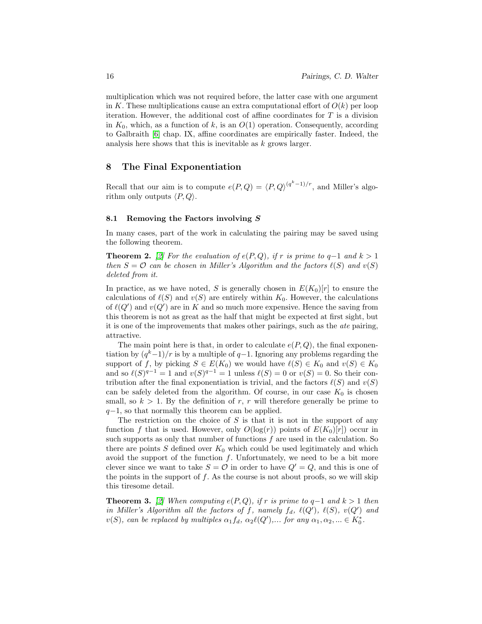multiplication which was not required before, the latter case with one argument in K. These multiplications cause an extra computational effort of  $O(k)$  per loop iteration. However, the additional cost of affine coordinates for  $T$  is a division in  $K_0$ , which, as a function of k, is an  $O(1)$  operation. Consequently, according to Galbraith [\[6\]](#page-25-2) chap. IX, affine coordinates are empirically faster. Indeed, the analysis here shows that this is inevitable as k grows larger.

## 8 The Final Exponentiation

Recall that our aim is to compute  $e(P,Q) = \langle P,Q \rangle^{(q^k-1)/r}$ , and Miller's algorithm only outputs  $\langle P, Q \rangle$ .

### 8.1 Removing the Factors involving S

In many cases, part of the work in calculating the pairing may be saved using the following theorem.

**Theorem 2.** [\[2\]](#page-25-5) For the evaluation of  $e(P,Q)$ , if r is prime to q-1 and k > 1 then  $S = \mathcal{O}$  can be chosen in Miller's Algorithm and the factors  $\ell(S)$  and  $v(S)$ deleted from it.

In practice, as we have noted, S is generally chosen in  $E(K_0)[r]$  to ensure the calculations of  $\ell(S)$  and  $v(S)$  are entirely within  $K_0$ . However, the calculations of  $\ell(Q')$  and  $v(Q')$  are in K and so much more expensive. Hence the saving from this theorem is not as great as the half that might be expected at first sight, but it is one of the improvements that makes other pairings, such as the ate pairing, attractive.

The main point here is that, in order to calculate  $e(P,Q)$ , the final exponentiation by  $(q<sup>k</sup>-1)/r$  is by a multiple of  $q-1$ . Ignoring any problems regarding the support of f, by picking  $S \in E(K_0)$  we would have  $\ell(S) \in K_0$  and  $v(S) \in K_0$ and so  $\ell(S)^{q-1} = 1$  and  $v(S)^{q-1} = 1$  unless  $\ell(S) = 0$  or  $v(S) = 0$ . So their contribution after the final exponentiation is trivial, and the factors  $\ell(S)$  and  $v(S)$ can be safely deleted from the algorithm. Of course, in our case  $K_0$  is chosen small, so  $k > 1$ . By the definition of r, r will therefore generally be prime to  $q-1$ , so that normally this theorem can be applied.

The restriction on the choice of  $S$  is that it is not in the support of any function f that is used. However, only  $O(log(r))$  points of  $E(K_0)[r]$  occur in such supports as only that number of functions  $f$  are used in the calculation. So there are points S defined over  $K_0$  which could be used legitimately and which avoid the support of the function  $f$ . Unfortunately, we need to be a bit more clever since we want to take  $S = \mathcal{O}$  in order to have  $Q' = Q$ , and this is one of the points in the support of  $f$ . As the course is not about proofs, so we will skip this tiresome detail.

**Theorem 3.** [\[2\]](#page-25-5) When computing  $e(P,Q)$ , if r is prime to q-1 and  $k > 1$  then in Miller's Algorithm all the factors of f, namely  $f_d$ ,  $\ell(Q')$ ,  $\ell(S)$ ,  $v(Q')$  and  $v(S)$ , can be replaced by multiples  $\alpha_1 f_d$ ,  $\alpha_2 \ell(Q')$ ,... for any  $\alpha_1, \alpha_2, ... \in K_0^*$ .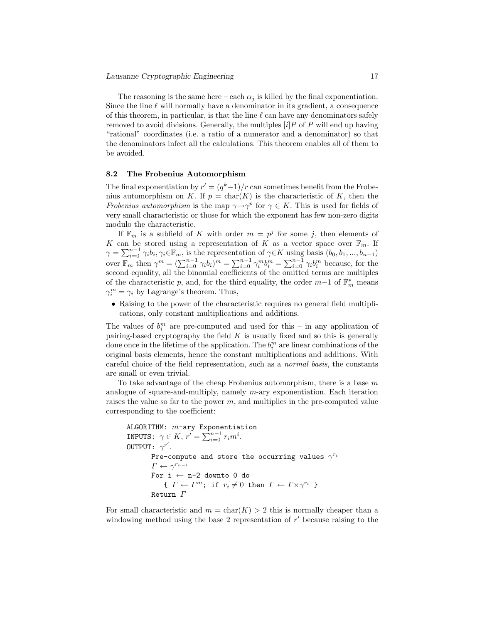The reasoning is the same here – each  $\alpha_i$  is killed by the final exponentiation. Since the line  $\ell$  will normally have a denominator in its gradient, a consequence of this theorem, in particular, is that the line  $\ell$  can have any denominators safely removed to avoid divisions. Generally, the multiples  $[i]P$  of P will end up having "rational" coordinates (i.e. a ratio of a numerator and a denominator) so that the denominators infect all the calculations. This theorem enables all of them to be avoided.

### 8.2 The Frobenius Automorphism

The final exponentiation by  $r' = (q<sup>k</sup>-1)/r$  can sometimes benefit from the Frobenius automorphism on K. If  $p = \text{char}(K)$  is the characteristic of K, then the Frobenius automorphism is the map  $\gamma \rightarrow \gamma^p$  for  $\gamma \in K$ . This is used for fields of very small characteristic or those for which the exponent has few non-zero digits modulo the characteristic.

If  $\mathbb{F}_m$  is a subfield of K with order  $m = p^j$  for some j, then elements of K can be stored using a representation of K as a vector space over  $\mathbb{F}_m$ . If  $\gamma = \sum_{i=0}^{n-1} \gamma_i b_i, \gamma_i \in \mathbb{F}_m$ , is the representation of  $\gamma \in K$  using basis  $(b_0, b_1, ..., b_{n-1})$ over  $\mathbb{F}_m$  then  $\gamma^m = (\sum_{i=0}^{n-1} \gamma_i b_i)^m = \sum_{i=0}^{n-1} \gamma_i^m b_i^m = \sum_{i=0}^{n-1} \gamma_i b_i^m$  because, for the second equality, all the binomial coefficients of the omitted terms are multiples of the characteristic p, and, for the third equality, the order  $m-1$  of  $\mathbb{F}_m^*$  means  $\gamma_i^m = \gamma_i$  by Lagrange's theorem. Thus,

• Raising to the power of the characteristic requires no general field multiplications, only constant multiplications and additions.

The values of  $b_i^m$  are pre-computed and used for this – in any application of pairing-based cryptography the field  $K$  is usually fixed and so this is generally done once in the lifetime of the application. The  $b_i^m$  are linear combinations of the original basis elements, hence the constant multiplications and additions. With careful choice of the field representation, such as a normal basis, the constants are small or even trivial.

To take advantage of the cheap Frobenius automorphism, there is a base  $m$ analogue of square-and-multiply, namely  $m$ -ary exponentiation. Each iteration raises the value so far to the power  $m$ , and multiplies in the pre-computed value corresponding to the coefficient:

```
ALGORITHM: m-ary Exponentiation
INPUTS: \gamma \in K, r' = \sum_{i=0}^{n-1} r_i m^i.
OUTPUT: \gamma^{r'}.Pre-compute and store the occurring values \gamma^{r_i}\Gamma \leftarrow \gamma^{r_{n-1}}For i \leftarrow n-2 downto 0 do
                { \Gamma \leftarrow \Gamma^m; if r_i \neq 0 then \Gamma \leftarrow \Gamma \times \gamma^{r_i} }
          Return \Gamma
```
For small characteristic and  $m = \text{char}(K) > 2$  this is normally cheaper than a windowing method using the base 2 representation of  $r'$  because raising to the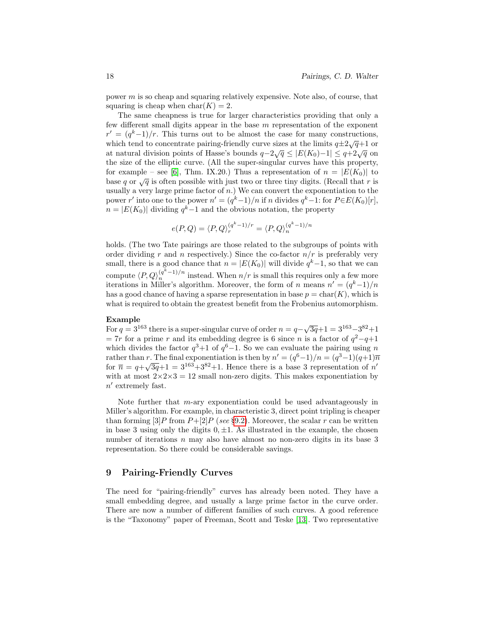power m is so cheap and squaring relatively expensive. Note also, of course, that squaring is cheap when  $char(K) = 2$ .

The same cheapness is true for larger characteristics providing that only a few different small digits appear in the base m representation of the exponent  $r' = (q<sup>k</sup>-1)/r$ . This turns out to be almost the case for many constructions, which tend to concentrate pairing-friendly curve sizes at the limits  $q\pm 2\sqrt{q}+1$  or at natural division points of Hasse's bounds  $q-2\sqrt{q} \le |E(K_0)-1| \le q+2\sqrt{q}$  on the size of the elliptic curve. (All the super-singular curves have this property, for example – see [\[6\]](#page-25-2), Thm. IX.20.) Thus a representation of  $n = |E(K_0)|$  to base q or  $\sqrt{q}$  is often possible with just two or three tiny digits. (Recall that r is usually a very large prime factor of  $n$ .) We can convert the exponentiation to the power r' into one to the power  $n' = (q^k-1)/n$  if n divides  $q^k-1$ : for  $P \in E(K_0)[r]$ ,  $n = |E(K_0)|$  dividing  $q^k-1$  and the obvious notation, the property

$$
e(P,Q) = \langle P,Q \rangle_r^{(q^k-1)/r} = \langle P,Q \rangle_n^{(q^k-1)/n}
$$

holds. (The two Tate pairings are those related to the subgroups of points with order dividing r and n respectively.) Since the co-factor  $n/r$  is preferably very small, there is a good chance that  $n = |E(K_0)|$  will divide  $q<sup>k</sup> - 1$ , so that we can compute  $\langle P, Q \rangle_n^{(q^k-1)/n}$  instead. When  $n/r$  is small this requires only a few more iterations in Miller's algorithm. Moreover, the form of n means  $n' = (q<sup>k</sup> - 1)/n$ has a good chance of having a sparse representation in base  $p = \text{char}(K)$ , which is what is required to obtain the greatest benefit from the Frobenius automorphism.

### Example

**Example**<br>For  $q = 3^{163}$  there is a super-singular curve of order  $n = q - \sqrt{3q} + 1 = 3^{163} - 3^{82} + 1$  $= 7r$  for a prime r and its embedding degree is 6 since n is a factor of  $q^2 - q + 1$ which divides the factor  $q^3+1$  of  $q^6-1$ . So we can evaluate the pairing using n rather than r. The final exponentiation is then by  $n' = (q^6-1)/n = (q^3-1)(q+1)\overline{n}$ for  $\bar{n} = q + \sqrt{3q} + 1 = 3^{163} + 3^{82} + 1$ . Hence there is a base 3 representation of n' with at most  $2 \times 2 \times 3 = 12$  small non-zero digits. This makes exponentiation by  $n'$  extremely fast.

Note further that  $m$ -ary exponentiation could be used advantageously in Miller's algorithm. For example, in characteristic 3, direct point tripling is cheaper than forming  $[3]P$  from  $P+[2]P$  (see §[9.2\)](#page-19-0). Moreover, the scalar r can be written in base 3 using only the digits  $0, \pm 1$ . As illustrated in the example, the chosen number of iterations n may also have almost no non-zero digits in its base 3 representation. So there could be considerable savings.

## 9 Pairing-Friendly Curves

The need for "pairing-friendly" curves has already been noted. They have a small embedding degree, and usually a large prime factor in the curve order. There are now a number of different families of such curves. A good reference is the "Taxonomy" paper of Freeman, Scott and Teske [\[13\]](#page-25-1). Two representative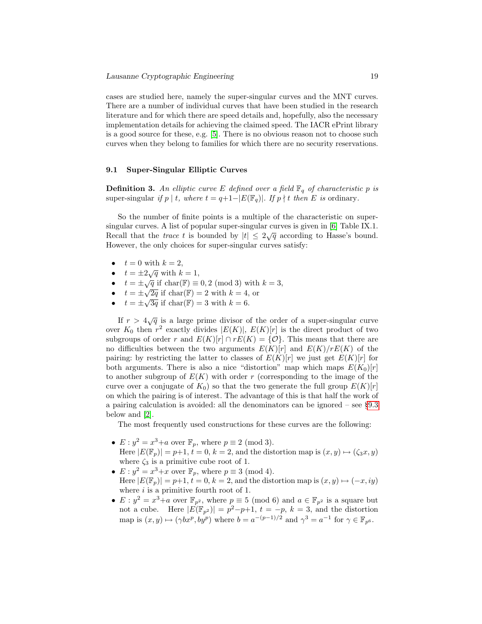cases are studied here, namely the super-singular curves and the MNT curves. There are a number of individual curves that have been studied in the research literature and for which there are speed details and, hopefully, also the necessary implementation details for achieving the claimed speed. The IACR ePrint library is a good source for these, e.g. [\[5\]](#page-25-6). There is no obvious reason not to choose such curves when they belong to families for which there are no security reservations.

#### <span id="page-18-0"></span>9.1 Super-Singular Elliptic Curves

**Definition 3.** An elliptic curve E defined over a field  $\mathbb{F}_q$  of characteristic p is super-singular if p | t, where  $t = q+1-|E(\mathbb{F}_q)|$ . If p | t then E is ordinary.

So the number of finite points is a multiple of the characteristic on supersingular curves. A list of popular super-singular curves is given in [\[6\]](#page-25-2) Table IX.1. Recall that the *trace t* is bounded by  $|t| \leq 2\sqrt{q}$  according to Hasse's bound. However, the only choices for super-singular curves satisfy:

- $t = 0$  with  $k = 2$ ,
- $t = \pm 2\sqrt{q}$  with  $k = 1$ ,
- $t = \pm \sqrt{q}$  if  $char(\mathbb{F}) \equiv 0, 2 \pmod{3}$  with  $k = 3$ ,
- $t = \pm \sqrt{2q}$  if  $char(\mathbb{F}) = 2$  with  $k = 4$ , or
- $t = \pm \sqrt{3q}$  if char(F) = 3 with  $k = 6$ .

If  $r > 4\sqrt{q}$  is a large prime divisor of the order of a super-singular curve over  $K_0$  then  $r^2$  exactly divides  $|E(K)|, E(K)[r]$  is the direct product of two subgroups of order r and  $E(K)[r] \cap rE(K) = \{O\}$ . This means that there are no difficulties between the two arguments  $E(K)[r]$  and  $E(K)/rE(K)$  of the pairing: by restricting the latter to classes of  $E(K)[r]$  we just get  $E(K)[r]$  for both arguments. There is also a nice "distortion" map which maps  $E(K_0)[r]$ to another subgroup of  $E(K)$  with order r (corresponding to the image of the curve over a conjugate of  $K_0$ ) so that the two generate the full group  $E(K)[r]$ on which the pairing is of interest. The advantage of this is that half the work of a pairing calculation is avoided: all the denominators can be ignored – see §[9.3](#page-20-0) below and [\[2\]](#page-25-5).

The most frequently used constructions for these curves are the following:

- $E: y^2 = x^3 + a$  over  $\mathbb{F}_p$ , where  $p \equiv 2 \pmod{3}$ . Here  $|E(\mathbb{F}_p)| = p+1$ ,  $t = 0$ ,  $k = 2$ , and the distortion map is  $(x, y) \mapsto (\zeta_3 x, y)$ where  $\zeta_3$  is a primitive cube root of 1.
- $E: y^2 = x^3 + x$  over  $\mathbb{F}_p$ , where  $p \equiv 3 \pmod{4}$ . Here  $|E(\mathbb{F}_p)| = p+1, t = 0, k = 2$ , and the distortion map is  $(x, y) \mapsto (-x, iy)$ where  $i$  is a primitive fourth root of 1.
- $E: y^2 = x^3 + a$  over  $\mathbb{F}_{p^2}$ , where  $p \equiv 5 \pmod{6}$  and  $a \in \mathbb{F}_{p^2}$  is a square but not a cube. Here  $|E(\mathbb{F}_{p^2})| = p^2-p+1$ ,  $t = -p$ ,  $k = 3$ , and the distortion map is  $(x, y) \mapsto (\gamma bx^p, by^p)$  where  $b = a^{-(p-1)/2}$  and  $\gamma^3 = a^{-1}$  for  $\gamma \in \mathbb{F}_{p^6}$ .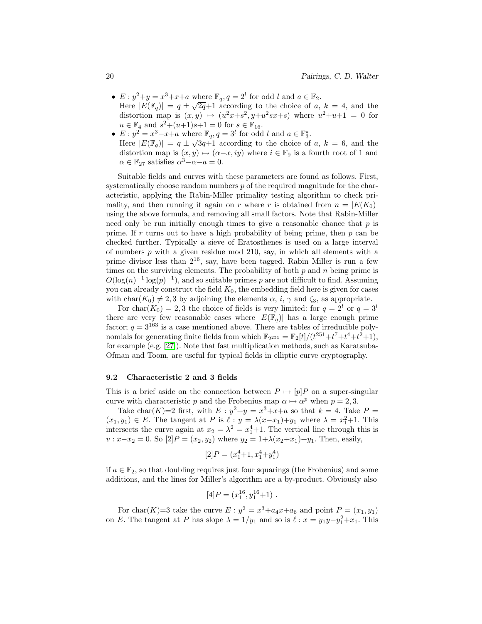- $E: y^2+y=x^3+x+a$  where  $\mathbb{F}_q$ ,  $q=2^l$  for odd l and  $a \in \mathbb{F}_2$ . Here  $|E(\mathbb{F}_q)| = q \pm \sqrt{2q} + 1$  according to the choice of a,  $k = 4$ , and the distortion map is  $(x, y) \mapsto (u^2x + s^2, y + u^2sx + s)$  where  $u^2 + u + 1 = 0$  for  $u \in \mathbb{F}_4$  and  $s^2 + (u+1)s+1 = 0$  for  $s \in \mathbb{F}_{16}$ .
- $E: y^2 = x^3 x + a$  where  $\mathbb{F}_q$ ,  $q = 3^l$  for odd l and  $a \in \mathbb{F}_3^*$ . Here  $|E(\mathbb{F}_q)| = q \pm \sqrt{3q+1}$  according to the choice of a,  $k = 6$ , and the distortion map is  $(x, y) \mapsto (\alpha-x, iy)$  where  $i \in \mathbb{F}_9$  is a fourth root of 1 and  $\alpha \in \mathbb{F}_{27}$  satisfies  $\alpha^3 - \alpha - a = 0$ .

Suitable fields and curves with these parameters are found as follows. First, systematically choose random numbers  $p$  of the required magnitude for the characteristic, applying the Rabin-Miller primality testing algorithm to check primality, and then running it again on r where r is obtained from  $n = |E(K_0)|$ using the above formula, and removing all small factors. Note that Rabin-Miller need only be run initially enough times to give a reasonable chance that  $p$  is prime. If r turns out to have a high probability of being prime, then  $p$  can be checked further. Typically a sieve of Eratosthenes is used on a large interval of numbers  $p$  with a given residue mod 210, say, in which all elements with a prime divisor less than  $2^{16}$ , say, have been tagged. Rabin Miller is run a few times on the surviving elements. The probability of both  $p$  and  $n$  being prime is  $O(\log(n)^{-1} \log(n)^{-1})$ , and so suitable primes p are not difficult to find. Assuming you can already construct the field  $K_0$ , the embedding field here is given for cases with char( $K_0$ )  $\neq$  2, 3 by adjoining the elements  $\alpha$ , i,  $\gamma$  and  $\zeta_3$ , as appropriate.

For char( $K_0$ ) = 2, 3 the choice of fields is very limited: for  $q = 2^l$  or  $q = 3^l$ there are very few reasonable cases where  $|E(\mathbb{F}_q)|$  has a large enough prime factor;  $q = 3^{163}$  is a case mentioned above. There are tables of irreducible polynomials for generating finite fields from which  $\mathbb{F}_{2^{251}} = \mathbb{F}_{2}[t]/(t^{251} + t^7 + t^4 + t^2 + 1),$ for example (e.g. [\[27\]](#page-26-6)). Note that fast multiplication methods, such as Karatsuba-Ofman and Toom, are useful for typical fields in elliptic curve cryptography.

### <span id="page-19-0"></span>9.2 Characteristic 2 and 3 fields

This is a brief aside on the connection between  $P \mapsto [p]P$  on a super-singular curve with characteristic p and the Frobenius map  $\alpha \mapsto \alpha^p$  when  $p = 2, 3$ .

Take char(K)=2 first, with  $E: y^2+y=x^3+x+a$  so that  $k=4$ . Take  $P=$  $(x_1, y_1) \in E$ . The tangent at P is  $\ell : y = \lambda (x-x_1)+y_1$  where  $\lambda = x_1^2+1$ . This intersects the curve again at  $x_2 = \lambda^2 = x_1^4 + 1$ . The vertical line through this is  $v: x-x_2 = 0$ . So  $[2]P = (x_2, y_2)$  where  $y_2 = 1+\lambda(x_2+x_1)+y_1$ . Then, easily,

$$
[2]P = (x_1^4 + 1, x_1^4 + y_1^4)
$$

if  $a \in \mathbb{F}_2$ , so that doubling requires just four squarings (the Frobenius) and some additions, and the lines for Miller's algorithm are a by-product. Obviously also

$$
[4]P = (x_1^{16}, y_1^{16} + 1) .
$$

For char(K)=3 take the curve  $E: y^2 = x^3 + a_4x + a_6$  and point  $P = (x_1, y_1)$ on E. The tangent at P has slope  $\lambda = 1/y_1$  and so is  $\ell : x = y_1y - y_1^2 + x_1$ . This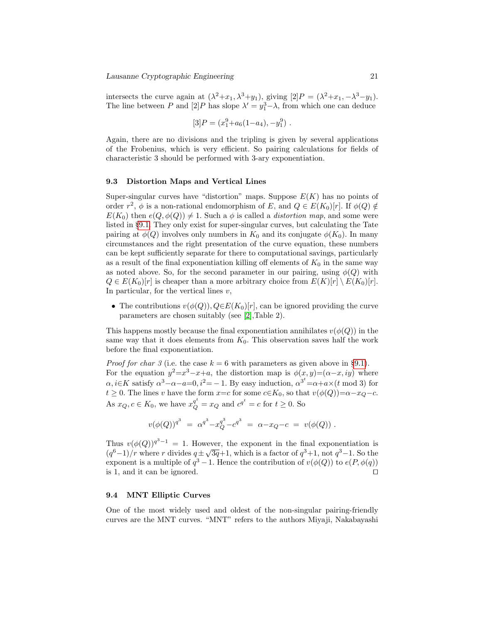intersects the curve again at  $(\lambda^2 + x_1, \lambda^3 + y_1)$ , giving  $[2]P = (\lambda^2 + x_1, -\lambda^3 - y_1)$ . The line between P and  $[2]P$  has slope  $\lambda' = y_1^3 - \lambda$ , from which one can deduce

$$
[3]P = (x_1^9 + a_6(1 - a_4), -y_1^9).
$$

Again, there are no divisions and the tripling is given by several applications of the Frobenius, which is very efficient. So pairing calculations for fields of characteristic 3 should be performed with 3-ary exponentiation.

### <span id="page-20-0"></span>9.3 Distortion Maps and Vertical Lines

Super-singular curves have "distortion" maps. Suppose  $E(K)$  has no points of order  $r^2$ ,  $\phi$  is a non-rational endomorphism of E, and  $Q \in E(K_0)[r]$ . If  $\phi(Q) \notin$  $E(K_0)$  then  $e(Q, \phi(Q)) \neq 1$ . Such a  $\phi$  is called a *distortion map*, and some were listed in §[9.1.](#page-18-0) They only exist for super-singular curves, but calculating the Tate pairing at  $\phi(Q)$  involves only numbers in  $K_0$  and its conjugate  $\phi(K_0)$ . In many circumstances and the right presentation of the curve equation, these numbers can be kept sufficiently separate for there to computational savings, particularly as a result of the final exponentiation killing off elements of  $K_0$  in the same way as noted above. So, for the second parameter in our pairing, using  $\phi(Q)$  with  $Q \in E(K_0)[r]$  is cheaper than a more arbitrary choice from  $E(K)[r] \setminus E(K_0)[r]$ . In particular, for the vertical lines  $v$ ,

• The contributions  $v(\phi(Q)), Q \in E(K_0)[r]$ , can be ignored providing the curve parameters are chosen suitably (see [\[2\]](#page-25-5),Table 2).

This happens mostly because the final exponentiation annihilates  $v(\phi(Q))$  in the same way that it does elements from  $K_0$ . This observation saves half the work before the final exponentiation.

*Proof for char 3* (i.e. the case  $k = 6$  with parameters as given above in §[9.1\)](#page-18-0). For the equation  $y^2 = x^3 - x + a$ , the distortion map is  $\phi(x, y) = (\alpha - x, iy)$  where  $\alpha, i \in K$  satisfy  $\alpha^3 - \alpha - a = 0, i^2 = -1$ . By easy induction,  $\alpha^{3^t} = \alpha + a \times (t \mod 3)$  for  $t \geq 0$ . The lines v have the form  $x=c$  for some  $c \in K_0$ , so that  $v(\phi(Q))=\alpha-x_Q-c$ . As  $x_Q, c \in K_0$ , we have  $x_Q^{q^t} = x_Q$  and  $c^{q^t} = c$  for  $t \ge 0$ . So

$$
v(\phi(Q))^{q^3} \; = \; \alpha^{q^3} - x_Q^{q^3} - c^{q^3} \; = \; \alpha - x_Q - c \; = \; v(\phi(Q)) \; .
$$

Thus  $v(\phi(Q))^{q^3-1} = 1$ . However, the exponent in the final exponentiation is Thus  $v(\varphi(\varphi))$  = 1. However, the exponent in the final exponentiation is  $(q^6-1)/r$  where r divides  $q \pm \sqrt{3q+1}$ , which is a factor of  $q^3+1$ , not  $q^3-1$ . So the exponent is a multiple of  $q^3 - 1$ . Hence the contribution of  $v(\phi(Q))$  to  $e(P, \phi(q))$ is 1, and it can be ignored.  $\square$ 

### <span id="page-20-1"></span>9.4 MNT Elliptic Curves

One of the most widely used and oldest of the non-singular pairing-friendly curves are the MNT curves. "MNT" refers to the authors Miyaji, Nakabayashi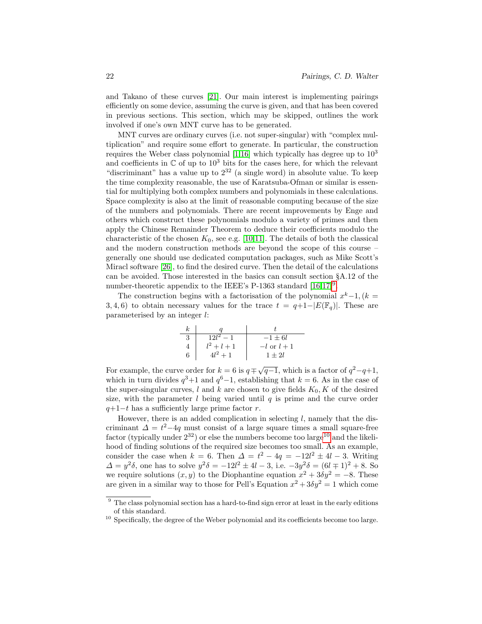and Takano of these curves [\[21\]](#page-26-7). Our main interest is implementing pairings efficiently on some device, assuming the curve is given, and that has been covered in previous sections. This section, which may be skipped, outlines the work involved if one's own MNT curve has to be generated.

MNT curves are ordinary curves (i.e. not super-singular) with "complex multiplication" and require some effort to generate. In particular, the construction requires the Weber class polynomial [\[1,](#page-25-7)[16\]](#page-26-3) which typically has degree up to  $10<sup>3</sup>$ and coefficients in  $\mathbb C$  of up to  $10^3$  bits for the cases here, for which the relevant "discriminant" has a value up to  $2^{32}$  (a single word) in absolute value. To keep the time complexity reasonable, the use of Karatsuba-Ofman or similar is essential for multiplying both complex numbers and polynomials in these calculations. Space complexity is also at the limit of reasonable computing because of the size of the numbers and polynomials. There are recent improvements by Enge and others which construct these polynomials modulo a variety of primes and then apply the Chinese Remainder Theorem to deduce their coefficients modulo the characteristic of the chosen  $K_0$ , see e.g. [\[10,](#page-25-8)[11\]](#page-25-9). The details of both the classical and the modern construction methods are beyond the scope of this course – generally one should use dedicated computation packages, such as Mike Scott's Miracl software [\[26\]](#page-26-8), to find the desired curve. Then the detail of the calculations can be avoided. Those interested in the basics can consult section §A.12 of the number-theoretic appendix to the IEEE's P-1363 standard  $[16,17]^9$  $[16,17]^9$  $[16,17]^9$  $[16,17]^9$ .

The construction begins with a factorisation of the polynomial  $x^k-1$ ,  $(k =$ 3, 4, 6) to obtain necessary values for the trace  $t = q+1-|E(\mathbb{F}_{q})|$ . These are parameterised by an integer l:

|   | $12l^2-1$     | $-1 \pm 6l$          |
|---|---------------|----------------------|
|   | $l^2 + l + 1$ | $-l \text{ or } l+1$ |
| ճ | $4l^2+1$      | $1 + 2l$             |

For example, the curve order for  $k = 6$  is  $q \mp \sqrt{q-1}$ , which is a factor of  $q^2 - q + 1$ , which in turn divides  $q^3+1$  and  $q^6-1$ , establishing that  $k=6$ . As in the case of the super-singular curves,  $l$  and  $k$  are chosen to give fields  $K_0, K$  of the desired size, with the parameter  $l$  being varied until  $q$  is prime and the curve order  $q+1-t$  has a sufficiently large prime factor r.

However, there is an added complication in selecting  $l$ , namely that the discriminant  $\Delta = t^2-4q$  must consist of a large square times a small square-free factor (typically under  $2^{32}$ ) or else the numbers become too large<sup>[10](#page-21-1)</sup> and the likelihood of finding solutions of the required size becomes too small. As an example, consider the case when  $k = 6$ . Then  $\Delta = t^2 - 4q = -12l^2 \pm 4l - 3$ . Writing  $\Delta = y^2 \delta$ , one has to solve  $y^2 \delta = -12l^2 \pm 4l - 3$ , i.e.  $-3y^2 \delta = (6l \mp 1)^2 + 8$ . So we require solutions  $(x, y)$  to the Diophantine equation  $x^2 + 3\delta y^2 = -8$ . These are given in a similar way to those for Pell's Equation  $x^2 + 3\delta y^2 = 1$  which come

<span id="page-21-0"></span> $9$  The class polynomial section has a hard-to-find sign error at least in the early editions of this standard.

<span id="page-21-1"></span> $10$  Specifically, the degree of the Weber polynomial and its coefficients become too large.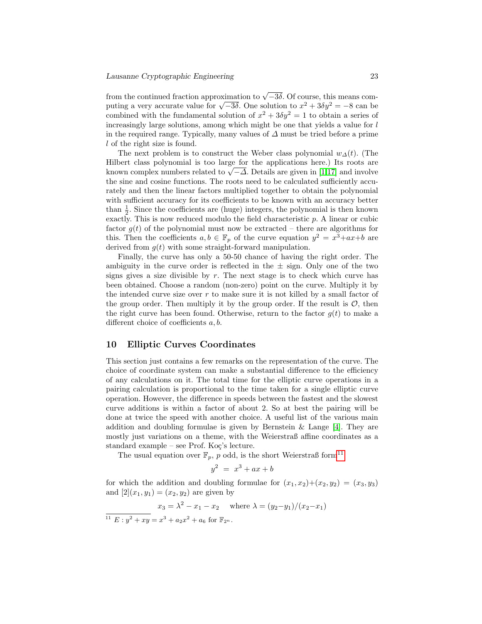from the continued fraction approximation to  $\sqrt{-3\delta}$ . Of course, this means commom the continued maction approximation to  $\sqrt{-3\delta}$ . One solution to  $x^2 + 3\delta y^2 = -8$  can be puting a very accurate value for  $\sqrt{-3\delta}$ . One solution to  $x^2 + 3\delta y^2 = -8$  can be combined with the fundamental solution of  $x^2 + 3\delta y^2 = 1$  to obtain a series of increasingly large solutions, among which might be one that yields a value for l in the required range. Typically, many values of  $\Delta$  must be tried before a prime l of the right size is found.

The next problem is to construct the Weber class polynomial  $w_{\Delta}(t)$ . (The Hilbert class polynomial is too large for the applications here.) Its roots are milbert class polynomial is too large for the applications here.) Its roots are known complex numbers related to  $\sqrt{-\Delta}$ . Details are given in [\[1,](#page-25-7)[17\]](#page-26-4) and involve the sine and cosine functions. The roots need to be calculated sufficiently accurately and then the linear factors multiplied together to obtain the polynomial with sufficient accuracy for its coefficients to be known with an accuracy better than  $\frac{1}{2}$ . Since the coefficients are (huge) integers, the polynomial is then known exactly. This is now reduced modulo the field characteristic p. A linear or cubic factor  $g(t)$  of the polynomial must now be extracted – there are algorithms for this. Then the coefficients  $a, b \in \mathbb{F}_p$  of the curve equation  $y^2 = x^3 + ax + b$  are derived from  $g(t)$  with some straight-forward manipulation.

Finally, the curve has only a 50-50 chance of having the right order. The ambiguity in the curve order is reflected in the  $\pm$  sign. Only one of the two signs gives a size divisible by  $r$ . The next stage is to check which curve has been obtained. Choose a random (non-zero) point on the curve. Multiply it by the intended curve size over  $r$  to make sure it is not killed by a small factor of the group order. Then multiply it by the group order. If the result is  $\mathcal{O}$ , then the right curve has been found. Otherwise, return to the factor  $g(t)$  to make a different choice of coefficients a, b.

## 10 Elliptic Curves Coordinates

This section just contains a few remarks on the representation of the curve. The choice of coordinate system can make a substantial difference to the efficiency of any calculations on it. The total time for the elliptic curve operations in a pairing calculation is proportional to the time taken for a single elliptic curve operation. However, the difference in speeds between the fastest and the slowest curve additions is within a factor of about 2. So at best the pairing will be done at twice the speed with another choice. A useful list of the various main addition and doubling formulae is given by Bernstein  $\&$  Lange [\[4\]](#page-25-10). They are mostly just variations on a theme, with the Weierstraß affine coordinates as a standard example – see Prof. Ko $\zeta$ 's lecture.

The usual equation over  $\mathbb{F}_p$ , p odd, is the short Weierstraß form<sup>[11](#page-22-0)</sup>

$$
y^2 = x^3 + ax + b
$$

for which the addition and doubling formulae for  $(x_1, x_2)+(x_2, y_2) = (x_3, y_3)$ and  $[2](x_1, y_1) = (x_2, y_2)$  are given by

$$
x_3 = \lambda^2 - x_1 - x_2
$$
 where  $\lambda = (y_2 - y_1)/(x_2 - x_1)$ 

<span id="page-22-0"></span><sup>&</sup>lt;sup>11</sup>  $E: y^2 + xy = x^3 + a_2x^2 + a_6$  for  $\mathbb{F}_{2^n}$ .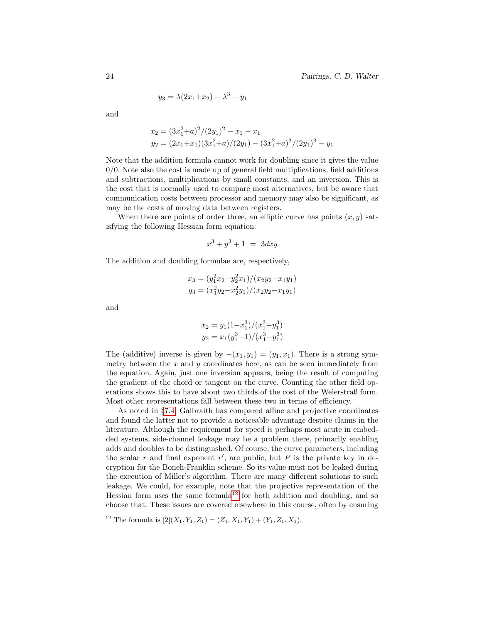$$
y_3 = \lambda (2x_1 + x_2) - \lambda^3 - y_1
$$

and

$$
x_2 = (3x_1^2 + a)^2/(2y_1)^2 - x_1 - x_1
$$
  
\n
$$
y_2 = (2x_1 + x_1)(3x_1^2 + a)/(2y_1) - (3x_1^2 + a)^3/(2y_1)^3 - y_1
$$

Note that the addition formula cannot work for doubling since it gives the value  $0/0$ . Note also the cost is made up of general field multiplications, field additions and subtractions, multiplications by small constants, and an inversion. This is the cost that is normally used to compare most alternatives, but be aware that communication costs between processor and memory may also be significant, as may be the costs of moving data between registers.

When there are points of order three, an elliptic curve has points  $(x, y)$  satisfying the following Hessian form equation:

$$
x^3 + y^3 + 1 = 3dxy
$$

The addition and doubling formulae are, respectively,

$$
x_3 = (y_1^2 x_2 - y_2^2 x_1)/(x_2 y_2 - x_1 y_1)
$$
  

$$
y_3 = (x_1^2 y_2 - x_2^2 y_1)/(x_2 y_2 - x_1 y_1)
$$

and

$$
x_2 = y_1(1-x_1^3)/(x_1^3-y_1^3)
$$
  

$$
y_2 = x_1(y_1^3-1)/(x_1^3-y_1^3)
$$

The (additive) inverse is given by  $-(x_1, y_1) = (y_1, x_1)$ . There is a strong symmetry between the  $x$  and  $y$  coordinates here, as can be seen immediately from the equation. Again, just one inversion appears, being the result of computing the gradient of the chord or tangent on the curve. Counting the other field operations shows this to have about two thirds of the cost of the Weierstraß form. Most other representations fall between these two in terms of efficiency.

As noted in §[7.4,](#page-14-0) Galbraith has compared affine and projective coordinates and found the latter not to provide a noticeable advantage despite claims in the literature. Although the requirement for speed is perhaps most acute in embedded systems, side-channel leakage may be a problem there, primarily enabling adds and doubles to be distinguished. Of course, the curve parameters, including the scalar  $r$  and final exponent  $r'$ , are public, but  $P$  is the private key in decryption for the Boneh-Franklin scheme. So its value must not be leaked during the execution of Miller's algorithm. There are many different solutions to such leakage. We could, for example, note that the projective representation of the Hessian form uses the same formula<sup>[12](#page-23-0)</sup> for both addition and doubling, and so choose that. These issues are covered elsewhere in this course, often by ensuring

<span id="page-23-0"></span><sup>&</sup>lt;sup>12</sup> The formula is  $[2](X_1, Y_1, Z_1) = (Z_1, X_1, Y_1) + (Y_1, Z_1, X_1).$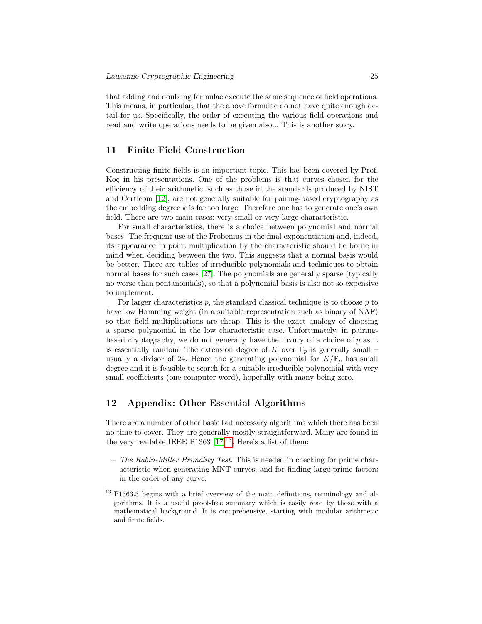that adding and doubling formulae execute the same sequence of field operations. This means, in particular, that the above formulae do not have quite enough detail for us. Specifically, the order of executing the various field operations and read and write operations needs to be given also... This is another story.

## 11 Finite Field Construction

Constructing finite fields is an important topic. This has been covered by Prof. Koç in his presentations. One of the problems is that curves chosen for the efficiency of their arithmetic, such as those in the standards produced by NIST and Certicom [\[12\]](#page-25-11), are not generally suitable for pairing-based cryptography as the embedding degree  $k$  is far too large. Therefore one has to generate one's own field. There are two main cases: very small or very large characteristic.

For small characteristics, there is a choice between polynomial and normal bases. The frequent use of the Frobenius in the final exponentiation and, indeed, its appearance in point multiplication by the characteristic should be borne in mind when deciding between the two. This suggests that a normal basis would be better. There are tables of irreducible polynomials and techniques to obtain normal bases for such cases [\[27\]](#page-26-6). The polynomials are generally sparse (typically no worse than pentanomials), so that a polynomial basis is also not so expensive to implement.

For larger characteristics  $p$ , the standard classical technique is to choose  $p$  to have low Hamming weight (in a suitable representation such as binary of NAF) so that field multiplications are cheap. This is the exact analogy of choosing a sparse polynomial in the low characteristic case. Unfortunately, in pairingbased cryptography, we do not generally have the luxury of a choice of  $p$  as it is essentially random. The extension degree of K over  $\mathbb{F}_p$  is generally small – usually a divisor of 24. Hence the generating polynomial for  $K/\mathbb{F}_p$  has small degree and it is feasible to search for a suitable irreducible polynomial with very small coefficients (one computer word), hopefully with many being zero.

## 12 Appendix: Other Essential Algorithms

There are a number of other basic but necessary algorithms which there has been no time to cover. They are generally mostly straightforward. Many are found in the very readable IEEE P[13](#page-24-0)63  $[17]^{13}$  $[17]^{13}$ . Here's a list of them:

– The Rabin-Miller Primality Test. This is needed in checking for prime characteristic when generating MNT curves, and for finding large prime factors in the order of any curve.

<span id="page-24-0"></span><sup>&</sup>lt;sup>13</sup> P1363.3 begins with a brief overview of the main definitions, terminology and algorithms. It is a useful proof-free summary which is easily read by those with a mathematical background. It is comprehensive, starting with modular arithmetic and finite fields.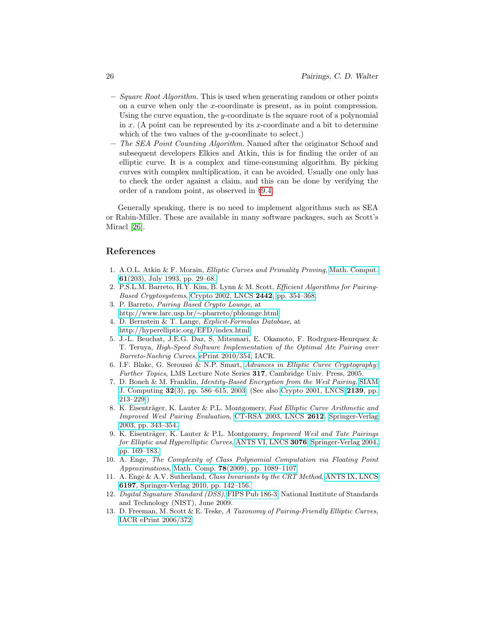- $-$  Square Root Algorithm. This is used when generating random or other points on a curve when only the x-coordinate is present, as in point compression. Using the curve equation, the y-coordinate is the square root of a polynomial in  $x$ . (A point can be represented by its  $x$ -coordinate and a bit to determine which of the two values of the y-coordinate to select.)
- The SEA Point Counting Algorithm. Named after the originator Schoof and subsequent developers Elkies and Atkin, this is for finding the order of an elliptic curve. It is a complex and time-consuming algorithm. By picking curves with complex multiplication, it can be avoided. Usually one only has to check the order against a claim, and this can be done by verifying the order of a random point, as observed in §[9.4.](#page-20-1)

Generally speaking, there is no need to implement algorithms such as SEA or Rabin-Miller. These are available in many software packages, such as Scott's Miracl [\[26\]](#page-26-8).

## References

- <span id="page-25-7"></span>1. A.O.L. Atkin & F. Morain, Elliptic Curves and Primality Proving, [Math. Comput.](http://www.ams.org/journals/mcom/1993-61-203/S0025-5718-1993-1199989-X/home.html) 61[\(203\), July 1993, pp. 29–68.](http://www.ams.org/journals/mcom/1993-61-203/S0025-5718-1993-1199989-X/home.html)
- <span id="page-25-5"></span>2. P.S.L.M. Barreto, H.Y. Kim, B. Lynn & M. Scott, Efficient Algorithms for Pairing-Based Cryptosystems, [Crypto 2002, LNCS](http://www.larc.usp.br/~pbarreto/pblounge.html#BKLS02) 2442, pp. 354-368.
- 3. P. Barreto, Pairing Based Crypto Lounge, at [http://www.larc.usp.br/](http://www.larc.usp.br/~pbarreto/pblounge.html)∼pbarreto/pblounge.html
- <span id="page-25-10"></span>4. D. Bernstein & T. Lange, Explicit-Formulas Database, at <http://hyperelliptic.org/EFD/index.html>
- <span id="page-25-6"></span>5. J.-L. Beuchat, J.E.G. Daz, S. Mitsunari, E. Okamoto, F. Rodrguez-Henrquez & T. Teruya, High-Speed Software Implementation of the Optimal Ate Pairing over Barreto-Naehrig Curves, [ePrint 2010/354,](http://eprint.iacr.org/2010/354) IACR.
- <span id="page-25-2"></span>6. I.F. Blake, G. Seroussi & N.P. Smart, [Advances in Elliptic Curve Cryptography:](http://www.amazon.co.uk/dp/052160415X) Further Topics, LMS Lecture Note Series 317, Cambridge Univ. Press, 2005.
- <span id="page-25-0"></span>7. D. Boneh & M. Franklin, Identity-Based Encryption from the Weil Pairing, [SIAM](http://citeseerx.ist.psu.edu/viewdoc/download?doi=10.1.1.66.1131&rep=rep1&type=pdf) J. Computing 32[\(3\), pp. 586–615, 2003.](http://citeseerx.ist.psu.edu/viewdoc/download?doi=10.1.1.66.1131&rep=rep1&type=pdf) (See also [Crypto 2001, LNCS](http://www.springerlink.com/content/bf5j8nhdp32pxqgy/fulltext.pdf) [2139](http://www.springerlink.com/content/bf5j8nhdp32pxqgy/fulltext.pdf), pp. [213–229.](http://www.springerlink.com/content/bf5j8nhdp32pxqgy/fulltext.pdf))
- <span id="page-25-3"></span>8. K. Eisenträger, K. Lauter & P.L. Montgomery, Fast Elliptic Curve Arithmetic and Improved Weil Pairing Evaluation, [CT-RSA 2003, LNCS](http://www.springerlink.com/content/wa9l0811fycvh5d9/) 2612, [Springer-Verlag](http://www.springerlink.com/content/wa9l0811fycvh5d9/) [2003, pp. 343–354.](http://www.springerlink.com/content/wa9l0811fycvh5d9/)
- <span id="page-25-4"></span>9. K. Eisenträger, K. Lauter & P.L. Montgomery, Improved Weil and Tate Pairings for Elliptic and Hyperelliptic Curves, [ANTS VI, LNCS](http://www.springerlink.com/content/5wpapcr7rbte3nb1/) 3076, [Springer-Verlag 2004,](http://www.springerlink.com/content/5wpapcr7rbte3nb1/) [pp. 169–183.](http://www.springerlink.com/content/5wpapcr7rbte3nb1/)
- <span id="page-25-8"></span>10. A. Enge, The Complexity of Class Polynomial Computation via Floating Point Approximations, Math. Comp. 78[\(2009\), pp. 1089–1107.](http://www.ams.org/mcom/2009-78-266/S0025-5718-08-02200-X/home.html)
- <span id="page-25-9"></span>11. A. Enge & A.V. Sutherland, Class Invariants by the CRT Method, [ANTS IX, LNCS](http://www.springerlink.com/content/47673q6804582r4t/) 6197[, Springer-Verlag 2010, pp. 142–156.](http://www.springerlink.com/content/47673q6804582r4t/)
- <span id="page-25-11"></span>12. Digital Signature Standard (DSS), [FIPS Pub 186-3,](http://csrc.nist.gov/publications/fips/fips186-3/fips_186-3.pdf) National Institute of Standards and Technology (NIST), June 2009.
- <span id="page-25-1"></span>13. D. Freeman, M. Scott & E. Teske, A Taxonomy of Pairing-Friendly Elliptic Curves, [IACR ePrint 2006/372.](http://eprint.iacr.org/2006/372.pdf)